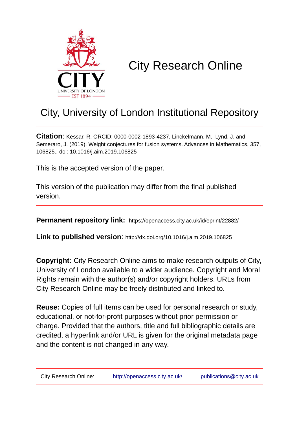

# City Research Online

# City, University of London Institutional Repository

**Citation**: Kessar, R. ORCID: 0000-0002-1893-4237, Linckelmann, M., Lynd, J. and Semeraro, J. (2019). Weight conjectures for fusion systems. Advances in Mathematics, 357, 106825.. doi: 10.1016/j.aim.2019.106825

This is the accepted version of the paper.

This version of the publication may differ from the final published version.

**Permanent repository link:** https://openaccess.city.ac.uk/id/eprint/22882/

**Link to published version**: http://dx.doi.org/10.1016/j.aim.2019.106825

**Copyright:** City Research Online aims to make research outputs of City, University of London available to a wider audience. Copyright and Moral Rights remain with the author(s) and/or copyright holders. URLs from City Research Online may be freely distributed and linked to.

**Reuse:** Copies of full items can be used for personal research or study, educational, or not-for-profit purposes without prior permission or charge. Provided that the authors, title and full bibliographic details are credited, a hyperlink and/or URL is given for the original metadata page and the content is not changed in any way.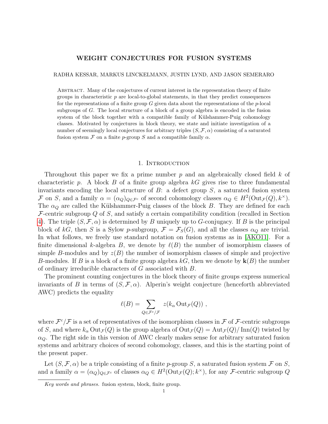# WEIGHT CONJECTURES FOR FUSION SYSTEMS

#### RADHA KESSAR, MARKUS LINCKELMANN, JUSTIN LYND, AND JASON SEMERARO

Abstract. Many of the conjectures of current interest in the representation theory of finite groups in characteristic  $p$  are local-to-global statements, in that they predict consequences for the representations of a finite group  $G$  given data about the representations of the  $p$ -local subgroups of G. The local structure of a block of a group algebra is encoded in the fusion system of the block together with a compatible family of Külshammer-Puig cohomology classes. Motivated by conjectures in block theory, we state and initiate investigation of a number of seemingly local conjectures for arbitrary triples  $(S, \mathcal{F}, \alpha)$  consisting of a saturated fusion system F on a finite p-group S and a compatible family  $\alpha$ .

#### 1. INTRODUCTION

Throughout this paper we fix a prime number  $p$  and an algebraically closed field  $k$  of characteristic p. A block  $B$  of a finite group algebra  $kG$  gives rise to three fundamental invariants encoding the local structure of  $B$ : a defect group  $S$ , a saturated fusion system F on S, and a family  $\alpha = (\alpha_Q)_{Q \in \mathcal{F}^c}$  of second cohomology classes  $\alpha_Q \in H^2(\text{Out}_{\mathcal{F}}(Q), k^\times)$ . The  $\alpha_Q$  are called the Külshammer-Puig classes of the block B. They are defined for each  $\mathcal F$ -centric subgroup Q of S, and satisfy a certain compatibility condition (recalled in Section [4\)](#page-9-0). The triple  $(S, \mathcal{F}, \alpha)$  is determined by B uniquely up to G-conjugacy. If B is the principal block of kG, then S is a Sylow p-subgroup,  $\mathcal{F} = \mathcal{F}_S(G)$ , and all the classes  $\alpha_O$  are trivial. In what follows, we freely use standard notation on fusion systems as in [\[AKO11\]](#page-33-0). For a finite dimensional k-algebra B, we denote by  $\ell(B)$  the number of isomorphism classes of simple B-modules and by  $z(B)$  the number of isomorphism classes of simple and projective B-modules. If B is a block of a finite group algebra  $kG$ , then we denote by  $k(B)$  the number of ordinary irreducible characters of G associated with B.

The prominent counting conjectures in the block theory of finite groups express numerical invariants of B in terms of  $(S, \mathcal{F}, \alpha)$ . Alperin's weight conjecture (henceforth abbreviated AWC) predicts the equality

$$
\ell(B) = \sum_{Q \in \mathcal{F}^c/\mathcal{F}} z(k_\alpha \mathrm{Out}_\mathcal{F}(Q)),
$$

where  $\mathcal{F}^c/\mathcal{F}$  is a set of representatives of the isomorphism classes in  $\mathcal F$  of  $\mathcal F$ -centric subgroups of S, and where  $k_{\alpha}$  Out $_{\mathcal{F}}(Q)$  is the group algebra of  $Out_{\mathcal{F}}(Q) = Aut_{\mathcal{F}}(Q)/\text{Inn}(Q)$  twisted by  $\alpha_{\mathcal{O}}$ . The right side in this version of AWC clearly makes sense for arbitrary saturated fusion systems and arbitrary choices of second cohomology, classes, and this is the starting point of the present paper.

Let  $(S, \mathcal{F}, \alpha)$  be a triple consisting of a finite p-group S, a saturated fusion system  $\mathcal{F}$  on S, and a family  $\alpha = (\alpha_Q)_{Q \in \mathcal{F}^c}$  of classes  $\alpha_Q \in H^2(\text{Out}_{\mathcal{F}}(Q); k^\times)$ , for any *F*-centric subgroup Q

Key words and phrases. fusion system, block, finite group.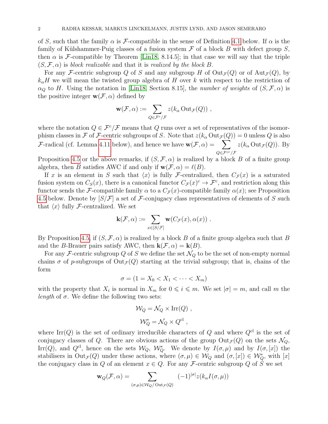of S, such that the family  $\alpha$  is F-compatible in the sense of Definition [4.1](#page-11-0) below. If  $\alpha$  is the family of Külshammer-Puig classes of a fusion system  $\mathcal F$  of a block B with defect group  $S$ , then  $\alpha$  is F-compatible by Theorem [\[Lin18,](#page-33-1) 8.14.5]; in that case we will say that the triple  $(S, \mathcal{F}, \alpha)$  is block realizable and that it is realized by the block B.

For any F-centric subgroup Q of S and any subgroup H of  $Out_\mathcal{F}(Q)$  or of  $Aut_\mathcal{F}(Q)$ , by  $k_{\alpha}H$  we will mean the twisted group algebra of H over k with respect to the restriction of  $\alpha_Q$  to H. Using the notation in [\[Lin18,](#page-33-1) Section 8.15], the number of weights of  $(S, \mathcal{F}, \alpha)$  is the positive integer  $\mathbf{w}(\mathcal{F}, \alpha)$  defined by

$$
\mathbf{w}(\mathcal{F}, \alpha) := \sum_{Q \in \mathcal{F}^c/\mathcal{F}} z(k_\alpha \,\mathrm{Out}_{\mathcal{F}}(Q)) \;,
$$

where the notation  $Q \in \mathcal{F}^c/\mathcal{F}$  means that Q runs over a set of representatives of the isomorphism classes in F of F-centric subgroups of S. Note that  $z(k_\alpha \text{Out}_{\mathcal{F}}(Q)) = 0$  unless Q is also F-radical (cf. Lemma [4.11](#page-16-0) below), and hence we have  $\mathbf{w}(\mathcal{F}, \alpha) = \sum_{\alpha}$  $Q{\in}{\mathcal F}^{cr}/{\mathcal F}$  $z(k_\alpha \text{Out}_{\mathcal{F}}(Q))$ . By

Proposition [4.5](#page-12-0) or the above remarks, if  $(S, \mathcal{F}, \alpha)$  is realized by a block B of a finite group algebra, then B satisfies AWC if and only if  $w(\mathcal{F}, \alpha) = \ell(B)$ .

If x is an element in S such that  $\langle x \rangle$  is fully F-centralized, then  $C_{\mathcal{F}}(x)$  is a saturated fusion system on  $C_S(x)$ , there is a canonical functor  $C_{\mathcal{F}}(x)^c \to \mathcal{F}^c$ , and restriction along this functor sends the F-compatible family  $\alpha$  to a  $C_{\mathcal{F}}(x)$ -compatible family  $\alpha(x)$ ; see Proposition [4.5](#page-12-0) below. Denote by  $[S/\mathcal{F}]$  a set of  $\mathcal{F}$ -conjugacy class representatives of elements of S such that  $\langle x \rangle$  fully F-centralized. We set

$$
\mathbf{k}(\mathcal{F},\alpha) := \sum_{x \in [S/\mathcal{F}]} \mathbf{w}(C_{\mathcal{F}}(x),\alpha(x)) \ .
$$

By Proposition [4.5,](#page-12-0) if  $(S, \mathcal{F}, \alpha)$  is realized by a block B of a finite group algebra such that B and the B-Brauer pairs satisfy AWC, then  $\mathbf{k}(\mathcal{F}, \alpha) = \mathbf{k}(B)$ .

For any F-centric subgroup Q of S we define the set  $\mathcal{N}_Q$  to be the set of non-empty normal chains  $\sigma$  of p-subgroups of  $Out_{\mathcal{F}}(Q)$  starting at the trivial subgroup; that is, chains of the form

$$
\sigma = (1 = X_0 < X_1 < \cdots < X_m)
$$

with the property that  $X_i$  is normal in  $X_m$  for  $0 \leqslant i \leqslant m$ . We set  $|\sigma| = m$ , and call m the *length* of  $\sigma$ . We define the following two sets:

$$
\mathcal{W}_Q = \mathcal{N}_Q \times \text{Irr}(Q) ,
$$
  

$$
\mathcal{W}_Q^* = \mathcal{N}_Q \times Q^{\text{cl}} ,
$$

where Irr(Q) is the set of ordinary irreducible characters of Q and where  $Q<sup>cl</sup>$  is the set of conjugacy classes of Q. There are obvious actions of the group  $Out_{\mathcal{F}}(Q)$  on the sets  $\mathcal{N}_Q$ , Irr(Q), and  $Q^{cl}$ , hence on the sets  $\mathcal{W}_Q$ ,  $\mathcal{W}_Q^*$ . We denote by  $I(\sigma,\mu)$  and by  $I(\sigma,[x])$  the stabilisers in  $Out_{\mathcal{F}}(Q)$  under these actions, where  $(\sigma, \mu) \in \mathcal{W}_Q$  and  $(\sigma, [x]) \in \mathcal{W}_Q^*$ , with  $[x]$ the conjugacy class in Q of an element  $x \in Q$ . For any F-centric subgroup Q of S we set

$$
\mathbf{w}_Q(\mathcal{F}, \alpha) = \sum_{(\sigma,\mu) \in \mathcal{W}_Q/\text{Out}_{\mathcal{F}}(Q)} (-1)^{|\sigma|} z(k_\alpha I(\sigma, \mu))
$$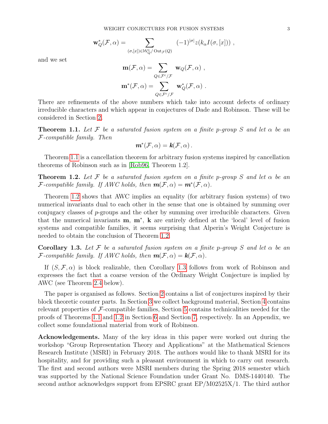$$
\mathbf{w}_Q^*(\mathcal{F}, \alpha) = \sum_{(\sigma, [x]) \in \mathcal{W}_Q^* / \mathrm{Out}_{\mathcal{F}}(Q)} (-1)^{|\sigma|} z(k_\alpha I(\sigma, [x])) ,
$$

and we set

$$
\mathbf{m}(\mathcal{F}, \alpha) = \sum_{Q \in \mathcal{F}^c / \mathcal{F}} \mathbf{w}_Q(\mathcal{F}, \alpha) ,
$$

$$
\mathbf{m}^*(\mathcal{F}, \alpha) = \sum_{Q \in \mathcal{F}^c / \mathcal{F}} \mathbf{w}_Q^*(\mathcal{F}, \alpha) .
$$

There are refinements of the above numbers which take into account defects of ordinary irreducible characters and which appear in conjectures of Dade and Robinson. These will be considered in Section [2.](#page-4-0)

<span id="page-3-0"></span>**Theorem 1.1.** Let F be a saturated fusion system on a finite p-group S and let  $\alpha$  be an F-compatible family. Then

$$
\mathbf{m}^*(\mathcal{F}, \alpha) = \mathbf{k}(\mathcal{F}, \alpha) \, .
$$

Theorem [1.1](#page-3-0) is a cancellation theorem for arbitrary fusion systems inspired by cancellation theorems of Robinson such as in [\[Rob96,](#page-34-0) Theorem 1.2].

<span id="page-3-1"></span>**Theorem 1.2.** Let F be a saturated fusion system on a finite p-group S and let  $\alpha$  be an *F*-compatible family. If AWC holds, then  $m(\mathcal{F}, \alpha) = m^*(\mathcal{F}, \alpha)$ .

Theorem [1.2](#page-3-1) shows that AWC implies an equality (for arbitrary fusion systems) of two numerical invariants dual to each other in the sense that one is obtained by summing over conjugacy classes of  $p$ -groups and the other by summing over irreducible characters. Given that the numerical invariants m, m<sup>∗</sup> , k are entirely defined at the 'local' level of fusion systems and compatible families, it seems surprising that Alperin's Weight Conjecture is needed to obtain the conclusion of Theorem [1.2.](#page-3-1)

<span id="page-3-2"></span>Corollary 1.3. Let F be a saturated fusion system on a finite p-group S and let  $\alpha$  be an F-compatible family. If AWC holds, then  $m(F, \alpha) = k(F, \alpha)$ .

If  $(S, \mathcal{F}, \alpha)$  is block realizable, then Corollary [1.3](#page-3-2) follows from work of Robinson and expresses the fact that a coarse version of the Ordinary Weight Conjecture is implied by AWC (see Theorem [2.4](#page-5-0) below).

The paper is organised as follows. Section [2](#page-4-0) contains a list of conjectures inspired by their block theoretic counter parts. In Section [3](#page-7-0) we collect background material, Section [4](#page-9-0) contains relevant properties of  $\mathcal{F}$ -compatible families, Section [5](#page-18-0) contains technicalities needed for the proofs of Theorems [1.1](#page-3-0) and [1.2](#page-3-1) in Section [6](#page-23-0) and Section [7,](#page-24-0) respectively. In an Appendix, we collect some foundational material from work of Robinson.

Acknowledgements. Many of the key ideas in this paper were worked out during the workshop "Group Representation Theory and Applications" at the Mathematical Sciences Research Institute (MSRI) in February 2018. The authors would like to thank MSRI for its hospitality, and for providing such a pleasant environment in which to carry out research. The first and second authors were MSRI members during the Spring 2018 semester which was supported by the National Science Foundation under Grant No. DMS-1440140. The second author acknowledges support from EPSRC grant EP/M02525X/1. The third author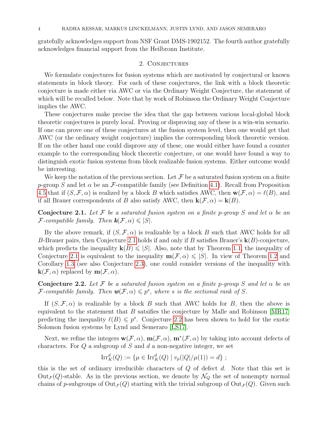gratefully acknowledges support from NSF Grant DMS-1902152. The fourth author gratefully acknowledges financial support from the Heilbronn Institute.

### 2. CONJECTURES

<span id="page-4-0"></span>We formulate conjectures for fusion systems which are motivated by conjectural or known statements in block theory. For each of these conjectures, the link with a block theoretic conjecture is made either via AWC or via the Ordinary Weight Conjecture, the statement of which will be recalled below. Note that by work of Robinson the Ordinary Weight Conjecture implies the AWC.

These conjectures make precise the idea that the gap between various local-global block theoretic conjectures is purely local. Proving or disproving any of these is a win-win scenario. If one can prove one of these conjectures at the fusion system level, then one would get that AWC (or the ordinary weight conjecture) implies the corresponding block theoretic version. If on the other hand one could disprove any of these, one would either have found a counter example to the corresponding block theoretic conjecture, or one would have found a way to distinguish exotic fusion systems from block realizable fusion systems. Either outcome would be interesting.

We keep the notation of the previous section. Let  $\mathcal F$  be a saturated fusion system on a finite p-group S and let  $\alpha$  be an F-compatible family (see Definition [4.1\)](#page-11-0). Recall from Proposition [4.5](#page-12-0) that if  $(S, \mathcal{F}, \alpha)$  is realized by a block B which satisfies AWC, then  $\mathbf{w}(\mathcal{F}, \alpha) = \ell(B)$ , and if all Brauer correspondents of B also satisfy AWC, then  $\mathbf{k}(\mathcal{F}, \alpha) = \mathbf{k}(B)$ .

<span id="page-4-1"></span>**Conjecture 2.1.** Let F be a saturated fusion system on a finite p-group S and let  $\alpha$  be an *F*-compatible family. Then  $\mathbf{k}(\mathcal{F}, \alpha) \leq |S|$ .

By the above remark, if  $(S, \mathcal{F}, \alpha)$  is realizable by a block B such that AWC holds for all B-Brauer pairs, then Conjecture [2.1](#page-4-1) holds if and only if B satisfies Brauer's  $\mathbf{k}(B)$ -conjecture, which predicts the inequality  $k(B) \leqslant |S|$ . Also, note that by Theorem [1.1,](#page-3-0) the inequality of Conjecture [2.1](#page-4-1) is equivalent to the inequality  $m(\mathcal{F}, \alpha) \leqslant |S|$ . In view of Theorem [1.2](#page-3-1) and Corollary [1.3](#page-3-2) (see also Conjecture [2.3\)](#page-5-1), one could consider versions of the inequality with  $\mathbf{k}(\mathcal{F}, \alpha)$  replaced by  $\mathbf{m}(\mathcal{F}, \alpha)$ .

<span id="page-4-2"></span>**Conjecture 2.2.** Let F be a saturated fusion system on a finite p-group S and let  $\alpha$  be an F-compatible family. Then  $\mathbf{w}(\mathcal{F}, \alpha) \leqslant p^s$ , where s is the sectional rank of S.

If  $(S, \mathcal{F}, \alpha)$  is realizable by a block B such that AWC holds for B, then the above is equivalent to the statement that  $B$  satsifies the conjecture by Malle and Robinson [\[MR17\]](#page-34-1) predicting the inequality  $\ell(B) \leqslant p^s$ . Conjecture [2.2](#page-4-2) has been shown to hold for the exotic Solomon fusion systems by Lynd and Semeraro [\[LS17\]](#page-33-2).

Next, we refine the integers  $\mathbf{w}(\mathcal{F}, \alpha)$ ,  $\mathbf{m}(\mathcal{F}, \alpha)$ ,  $\mathbf{m}^*(\mathcal{F}, \alpha)$  by taking into account defects of characters. For  $Q$  a subgroup of  $S$  and  $d$  a non-negative integer, we set

$$
\mathrm{Irr}_K^d(Q) := \{ \mu \in \mathrm{Irr}_K^d(Q) \mid v_p(|Q|/\mu(1)) = d \};
$$

this is the set of ordinary irreducible characters of  $Q$  of defect  $d$ . Note that this set is  $Out_{\mathcal{F}}(Q)$ -stable. As in the previous section, we denote by  $\mathcal{N}_Q$  the set of nonempty normal chains of p-subgroups of  $Out_{\mathcal{F}}(Q)$  starting with the trivial subgroup of  $Out_{\mathcal{F}}(Q)$ . Given such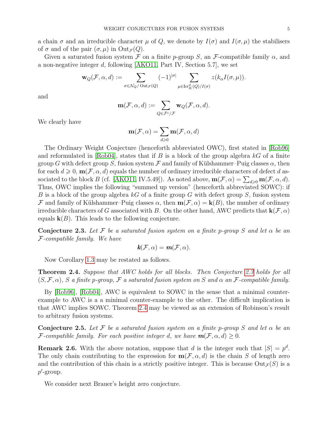a chain  $\sigma$  and an irreducible character  $\mu$  of Q, we denote by  $I(\sigma)$  and  $I(\sigma, \mu)$  the stabilisers of  $\sigma$  and of the pair  $(\sigma, \mu)$  in  $Out_{\mathcal{F}}(Q)$ .

Given a saturated fusion system F on a finite p-group S, an F-compatible family  $\alpha$ , and a non-negative integer d, following [\[AKO11,](#page-33-0) Part IV, Section 5.7], we set

$$
\mathbf{w}_Q(\mathcal{F}, \alpha, d) := \sum_{\sigma \in \mathcal{N}_Q/\operatorname{Out}_{\mathcal{F}}(Q)} (-1)^{|\sigma|} \sum_{\mu \in \operatorname{Irr}_K^d(Q)/I(\sigma)} z(k_\alpha I(\sigma, \mu)).
$$

and

$$
\mathbf{m}(\mathcal{F}, \alpha, d) := \sum_{Q \in \mathcal{F}^c / \mathcal{F}} \mathbf{w}_Q(\mathcal{F}, \alpha, d).
$$

We clearly have

$$
\mathbf{m}(\mathcal{F}, \alpha) = \sum_{d \geqslant 0} \mathbf{m}(\mathcal{F}, \alpha, d)
$$

The Ordinary Weight Conjecture (henceforth abbreviated OWC), first stated in [\[Rob96\]](#page-34-0) and reformulated in [\[Rob04\]](#page-34-2), states that if  $B$  is a block of the group algebra  $kG$  of a finite group G with defect group S, fusion system F and family of Külshammer–Puig classes  $\alpha$ , then for each  $d \geq 0$ ,  $\mathbf{m}(\mathcal{F}, \alpha, d)$  equals the number of ordinary irreducible characters of defect d as-sociated to the block B (cf. [\[AKO11,](#page-33-0) IV.5.49]). As noted above,  $\mathbf{m}(\mathcal{F}, \alpha) = \sum_{d \geq 0} \mathbf{m}(\mathcal{F}, \alpha, d)$ . Thus, OWC implies the following "summed up version" (henceforth abbreviated SOWC): if B is a block of the group algebra kG of a finite group G with defect group S, fusion system F and family of Külshammer–Puig classes  $\alpha$ , then  $m(\mathcal{F}, \alpha) = k(B)$ , the number of ordinary irreducible characters of G associated with B. On the other hand, AWC predicts that  $\mathbf{k}(\mathcal{F}, \alpha)$ equals  $\mathbf{k}(B)$ . This leads to the following conjecture.

<span id="page-5-1"></span>**Conjecture 2.3.** Let F be a saturated fusion system on a finite p-group S and let  $\alpha$  be an F-compatible family. We have

$$
\mathbf{k}(\mathcal{F},\alpha)=\mathbf{m}(\mathcal{F},\alpha).
$$

Now Corollary [1.3](#page-3-2) may be restated as follows.

<span id="page-5-0"></span>**Theorem 2.4.** Suppose that AWC holds for all blocks. Then Conjecture [2.3](#page-5-1) holds for all  $(S, \mathcal{F}, \alpha)$ , S a finite p-group, F a saturated fusion system on S and  $\alpha$  an F-compatible family.

By [\[Rob96\]](#page-34-0), [\[Rob04\]](#page-34-2), AWC is equivalent to SOWC in the sense that a minimal counterexample to AWC is a a minimal counter-example to the other. The difficult implication is that AWC implies SOWC. Theorem [2.4](#page-5-0) may be viewed as an extension of Robinson's result to arbitrary fusion systems.

<span id="page-5-2"></span>**Conjecture 2.5.** Let F be a saturated fusion system on a finite p-group S and let  $\alpha$  be an *F*-compatible family. For each positive integer d, we have  $m(F, \alpha, d) \geq 0$ .

**Remark 2.6.** With the above notation, suppose that d is the integer such that  $|S| = p^d$ . The only chain contributing to the expression for  $m(\mathcal{F}, \alpha, d)$  is the chain S of length zero and the contribution of this chain is a strictly positive integer. This is because  $Out_F(S)$  is a  $p'$ -group.

We consider next Brauer's height zero conjecture.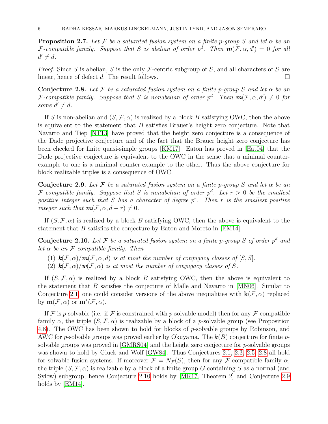**Proposition 2.7.** Let F be a saturated fusion system on a finite p-group S and let  $\alpha$  be an F-compatible family. Suppose that S is abelian of order  $p^d$ . Then  $m(\mathcal{F}, \alpha, d') = 0$  for all  $d' \neq d$ .

*Proof.* Since S is abelian, S is the only F-centric subgroup of S, and all characters of S are linear, hence of defect d. The result follows.

<span id="page-6-0"></span>Conjecture 2.8. Let F be a saturated fusion system on a finite p-group S and let  $\alpha$  be an F-compatible family. Suppose that S is nonabelian of order  $p^d$ . Then  $m(\mathcal{F}, \alpha, d') \neq 0$  for some  $d' \neq d$ .

If S is non-abelian and  $(S, \mathcal{F}, \alpha)$  is realized by a block B satisfying OWC, then the above is equivalent to the statement that  $B$  satisfies Brauer's height zero conjecture. Note that Navarro and Tiep [\[NT13\]](#page-34-3) have proved that the height zero conjecture is a consequence of the Dade projective conjecture and of the fact that the Brauer height zero conjecture has been checked for finite quasi-simple groups [\[KM17\]](#page-33-3). Eaton has proved in [\[Eat04\]](#page-33-4) that the Dade projective conjecture is equivalent to the OWC in the sense that a minimal counterexample to one is a minimal counter-example to the other. Thus the above conjecture for block realizable triples is a consequence of OWC.

<span id="page-6-2"></span>**Conjecture 2.9.** Let F be a saturated fusion system on a finite p-group S and let  $\alpha$  be an F-compatible family. Suppose that S is nonabelian of order  $p^d$ . Let  $r > 0$  be the smallest positive integer such that  $S$  has a character of degree  $p^r$ . Then  $r$  is the smallest positive integer such that  $m(F, \alpha, d-r) \neq 0$ .

If  $(S, \mathcal{F}, \alpha)$  is realized by a block B satisfying OWC, then the above is equivalent to the statement that B satisfies the conjecture by Eaton and Moreto in [\[EM14\]](#page-33-5).

<span id="page-6-1"></span>**Conjecture 2.10.** Let F be a saturated fusion system on a finite p-group S of order  $p^d$  and let  $\alpha$  be an F-compatible family. Then

- (1)  $\mathbf{k}(\mathcal{F}, \alpha)/\mathbf{m}(\mathcal{F}, \alpha, d)$  is at most the number of conjugacy classes of  $[S, S]$ .
- (2)  $\mathbf{k}(\mathcal{F}, \alpha) / \mathbf{w}(\mathcal{F}, \alpha)$  is at most the number of conjugacy classes of S.

If  $(S, \mathcal{F}, \alpha)$  is realized by a block B satisfying OWC, then the above is equivalent to the statement that B satisfies the conjecture of Malle and Navarro in  $[MN06]$ . Similar to Conjecture [2.1,](#page-4-1) one could consider versions of the above inequalities with  $\mathbf{k}(\mathcal{F}, \alpha)$  replaced by  $\mathbf{m}(\mathcal{F}, \alpha)$  or  $\mathbf{m}^*(\mathcal{F}, \alpha)$ .

If F is p-solvable (i.e. if F is constrained with p-solvable model) then for any F-compatible family  $\alpha$ , the triple  $(S, \mathcal{F}, \alpha)$  is realizable by a block of a p-solvable group (see Proposition [4.8\)](#page-14-0). The OWC has been shown to hold for blocks of p-solvable groups by Robinson, and AWC for p-solvable groups was proved earlier by Okuyama. The  $k(B)$  conjecture for finite psolvable groups was proved in [\[GMRS04\]](#page-33-6) and the height zero conjecture for p-solvable groups was shown to hold by Gluck and Wolf [\[GW84\]](#page-33-7). Thus Conjectures [2.1,](#page-4-1) [2.3,](#page-5-1) [2.5,](#page-5-2) [2.8](#page-6-0) all hold for solvable fusion systems. If moreover  $\mathcal{F} = N_{\mathcal{F}}(S)$ , then for any F-compatible family  $\alpha$ , the triple  $(S, \mathcal{F}, \alpha)$  is realizable by a block of a finite group G containing S as a normal (and Sylow) subgroup, hence Conjecture [2.10](#page-6-1) holds by [\[MR17,](#page-34-1) Theorem 2] and Conjecture [2.9](#page-6-2) holds by [\[EM14\]](#page-33-5).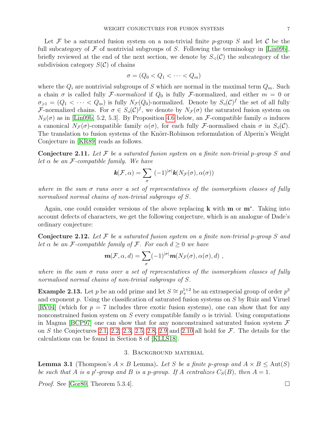Let F be a saturated fusion system on a non-trivial finite p-group S and let C be the full subcategory of  $\mathcal F$  of nontrivial subgroups of S. Following the terminology in [\[Lin09b\]](#page-33-8), briefly reviewed at the end of the next section, we denote by  $S_{\leq}(\mathcal{C})$  the subcategory of the subdivision category  $S(\mathcal{C})$  of chains

$$
\sigma = (Q_0 < Q_1 < \cdots < Q_m)
$$

where the  $Q_i$  are nontrivial subgroups of S which are normal in the maximal term  $Q_m$ . Such a chain  $\sigma$  is called fully F-normalized if  $Q_0$  is fully F-normalized, and either  $m = 0$  or  $\sigma_{\geq 1} = (Q_1 < \cdots < Q_m)$  is fully  $N_{\mathcal{F}}(Q_0)$ -normalized. Denote by  $S_q(\mathcal{C})^f$  the set of all fully F-normalized chains. For  $\sigma \in S_d(\mathcal{C})^f$ , we denote by  $N_{\mathcal{F}}(\sigma)$  the saturated fusion system on  $N<sub>S</sub>(\sigma)$  as in [\[Lin09b,](#page-33-8) 5.2, 5.3]. By Proposition [4.6](#page-13-0) below, an F-compatible family  $\alpha$  induces a canonical  $N_{\mathcal{F}}(\sigma)$ -compatible family  $\alpha(\sigma)$ , for each fully F-normalised chain  $\sigma$  in  $S_q(\mathcal{C})$ . The translation to fusion systems of the Knörr-Robinson reformulation of Alperin's Weight Conjecture in [\[KR89\]](#page-33-9) reads as follows.

**Conjecture 2.11.** Let F be a saturated fusion system on a finite non-trivial p-group S and let  $\alpha$  be an F-compatible family. We have

$$
\mathbf{k}(\mathcal{F},\alpha)=\sum_{\sigma}\;(-1)^{|\sigma|}\mathbf{k}(N_{\mathcal{F}}(\sigma),\alpha(\sigma))
$$

where in the sum  $\sigma$  runs over a set of representatives of the isomorphism classes of fully normalised normal chains of non-trivial subgroups of S.

Again, one could consider versions of the above replacing **k** with **m** or **m**<sup>\*</sup>. Taking into account defects of characters, we get the following conjecture, which is an analogue of Dade's ordinary conjecture:

**Conjecture 2.12.** Let F be a saturated fusion system on a finite non-trivial p-group S and let  $\alpha$  be an F-compatible family of F. For each  $d \geq 0$  we have

$$
\mathbf{m}(\mathcal{F}, \alpha, d) = \sum_{\sigma} (-1)^{|\sigma|} \mathbf{m}(N_{\mathcal{F}}(\sigma), \alpha(\sigma), d) ,
$$

where in the sum  $\sigma$  runs over a set of representatives of the isomorphism classes of fully normalised normal chains of non-trivial subgroups of S.

**Example 2.13.** Let p be an odd prime and let  $S \cong p_+^{1+2}$  be an extraspecial group of order  $p^3$ and exponent p. Using the classification of saturated fusion systems on S by Ruiz and Viruel [\[RV04\]](#page-34-5) (which for  $p = 7$  includes three exotic fusion systems), one can show that for any nonconstrained fusion system on S every compatible family  $\alpha$  is trivial. Using computations in Magma [\[BCP97\]](#page-33-10) one can show that for any nonconstrained saturated fusion system  $\mathcal F$ on S the Conjectures [2.1,](#page-4-1) [2.2,](#page-4-2) [2.3,](#page-5-1) [2.5,](#page-5-2) [2.8,](#page-6-0) [2.9](#page-6-2) and [2.10](#page-6-1) all hold for  $\mathcal F$ . The details for the calculations can be found in Section 8 of [\[KLLS18\]](#page-33-11).

# 3. Background material

<span id="page-7-1"></span><span id="page-7-0"></span>**Lemma 3.1** (Thompson's  $A \times B$  Lemma). Let S be a finite p-group and  $A \times B \leq \text{Aut}(S)$ be such that A is a p'-group and B is a p-group. If A centralizes  $C_S(B)$ , then  $A = 1$ .

*Proof.* See [\[Gor80,](#page-33-12) Theorem 5.3.4].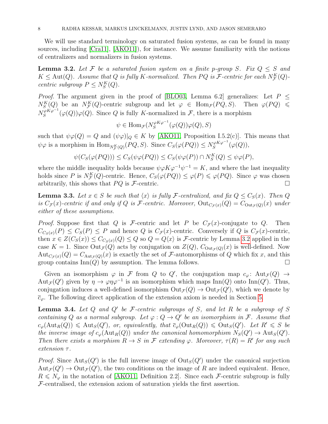We will use standard terminology on saturated fusion systems, as can be found in many sources, including [\[Cra11\]](#page-33-13), [\[AKO11\]](#page-33-0)), for instance. We assume familiarity with the notions of centralizers and normalizers in fusion systems.

<span id="page-8-0"></span>**Lemma 3.2.** Let F be a saturated fusion system on a finite p-group S. Fix  $Q \leq S$  and  $K \leq \text{Aut}(Q)$ . Assume that Q is fully K-normalized. Then PQ is F-centric for each  $N_{\mathcal{F}}^K(Q)$ centric subgroup  $P \leq N_S^K(Q)$ .

*Proof.* The argument given in the proof of [\[BLO03,](#page-33-14) Lemma 6.2] generalizes: Let  $P \leq$  $N_S^K(Q)$  be an  $N_{\mathcal{F}}^K(Q)$ -centric subgroup and let  $\varphi \in \text{Hom}_{\mathcal{F}}(PQ, S)$ . Then  $\varphi(PQ) \leq$  $N_S^{\varphi K \varphi^{-1}}$  $S^{(\varphi K\varphi^{-1}}(\varphi(Q))\varphi(Q)$ . Since Q is fully K-normalized in F, there is a morphism

$$
\psi \in \text{Hom}_{\mathcal{F}}(N_S^{\varphi K \varphi^{-1}}(\varphi(Q))\varphi(Q), S)
$$

such that  $\psi \varphi(Q) = Q$  and  $(\psi \varphi)|_Q \in K$  by [\[AKO11,](#page-33-0) Proposition I.5.2(c)]. This means that  $\psi\varphi$  is a morphism in  $\text{Hom}_{N^K_{\mathcal{F}}(Q)}(PQ, S)$ . Since  $C_S(\varphi(PQ)) \leq N^{\varphi K\varphi^{-1}}_S$  $S^{ \varphi K \varphi^{-1}}(\varphi(Q)),$ 

$$
\psi(C_S(\varphi(PQ))) \le C_S(\psi\varphi(PQ)) \le C_S(\psi\varphi(P)) \cap N_S^K(Q) \le \psi\varphi(P),
$$

where the middle inequality holds because  $\psi \varphi K \varphi^{-1} \psi^{-1} = K$ , and where the last inequality holds since P is  $N_{\mathcal{F}}^{K}(Q)$ -centric. Hence,  $C_{S}(\varphi(PQ)) \leq \varphi(P) \leq \varphi(PQ)$ . Since  $\varphi$  was chosen arbitrarily, this shows that  $PQ$  is  $\mathcal{F}\text{-centric.}$ 

<span id="page-8-2"></span>**Lemma 3.3.** Let  $x \in S$  be such that  $\langle x \rangle$  is fully F-centralized, and fix  $Q \leq C_S(x)$ . Then Q is  $C_{\mathcal{F}}(x)$ -centric if and only if Q is F-centric. Moreover,  $Out_{C_{\mathcal{F}}(x)}(Q) = C_{Out_{\mathcal{F}}(Q)}(x)$  under either of these assumptions.

*Proof.* Suppose first that Q is F-centric and let P be  $C_{\mathcal{F}}(x)$ -conjugate to Q. Then  $C_{C_S(x)}(P) \leq C_S(P) \leq P$  and hence Q is  $C_{\mathcal{F}}(x)$ -centric. Conversely if Q is  $C_{\mathcal{F}}(x)$ -centric, then  $x \in Z(C_{S}(x)) \leq C_{C_{S}(x)}(Q) \leq Q$  so  $Q = Q\langle x \rangle$  is F-centric by Lemma [3.2](#page-8-0) applied in the case  $K = 1$ . Since  $Out_{\mathcal{F}}(Q)$  acts by conjugation on  $Z(Q)$ ,  $C_{Out_{\mathcal{F}}(Q)}(x)$  is well-defined. Now  $Aut_{C_{\mathcal{F}}(x)}(Q) = C_{Aut_{\mathcal{F}}(Q)}(x)$  is exactly the set of F-automorphisms of Q which fix x, and this group contains  $\text{Inn}(Q)$  by assumption. The lemma follows.

Given an isomorphism  $\varphi$  in F from Q to Q', the conjugation map  $c_{\varphi}$ : Aut $\mathcal{F}(Q) \to$ Aut<sub>F</sub>(Q') given by  $\eta \to \varphi \eta \varphi^{-1}$  is an isomorphism which maps Inn(Q) onto Inn(Q'). Thus, conjugation induces a well-defined isomorphism  $Out_{\mathcal{F}}(Q) \to Out_{\mathcal{F}}(Q')$ , which we denote by  $\bar{c}_{\varphi}$ . The following direct application of the extension axiom is needed in Section [5.](#page-18-0)

<span id="page-8-1"></span>**Lemma 3.4.** Let  $Q$  and  $Q'$  be F-centric subgroups of  $S$ , and let  $R$  be a subgroup of  $S$ containing Q as a normal subgroup. Let  $\varphi: Q \to Q'$  be an isomorphism in F. Assume that  $c_{\varphi}(\text{Aut}_R(Q)) \leq \text{Aut}_S(Q'),$  or, equivalently, that  $\overline{c}_{\varphi}(\text{Out}_R(Q)) \leq \text{Out}_S(Q').$  Let  $R' \leq S$  be the inverse image of  $c_{\varphi}(\text{Aut}_R(Q))$  under the canonical homomorphism  $N_S(Q') \to \text{Aut}_S(Q')$ . Then there exists a morphism  $R \to S$  in F extending  $\varphi$ . Moreover,  $\tau(R) = R'$  for any such  $extension \tau$ .

*Proof.* Since  $\text{Aut}_S(Q')$  is the full inverse image of  $\text{Out}_S(Q')$  under the canonical surjection  ${\rm Aut}_{\mathcal{F}}(Q') \to {\rm Out}_{\mathcal{F}}(Q')$ , the two conditions on the image of R are indeed equivalent. Hence,  $R \leq N_{\varphi}$  in the notation of [\[AKO11,](#page-33-0) Definition 2.2]. Since each *F*-centric subgroup is fully  $F$ -centralised, the extension axiom of saturation yields the first assertion.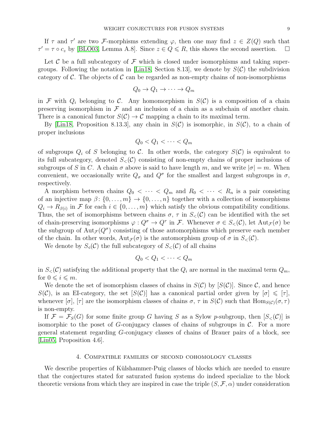If  $\tau$  and  $\tau'$  are two F-morphisms extending  $\varphi$ , then one may find  $z \in Z(Q)$  such that  $\tau' = \tau \circ c_z$  by [\[BLO03,](#page-33-14) Lemma A.8]. Since  $z \in Q \le R$ , this shows the second assertion.  $\square$ 

Let  $\mathcal C$  be a full subcategory of  $\mathcal F$  which is closed under isomorphisms and taking super-groups. Following the notation in [\[Lin18,](#page-33-1) Section 8.13], we denote by  $S(\mathcal{C})$  the subdivision category of C. The objects of C can be regarded as non-empty chains of non-isomorphisms

$$
Q_0 \to Q_1 \to \cdots \to Q_m
$$

in F with  $Q_i$  belonging to C. Any homomorphism in  $S(\mathcal{C})$  is a composition of a chain preserving isomorphism in  $\mathcal F$  and an inclusion of a chain as a subchain of another chain. There is a canonical functor  $S(\mathcal{C}) \to \mathcal{C}$  mapping a chain to its maximal term.

By [\[Lin18,](#page-33-1) Proposition 8.13.3], any chain in  $S(\mathcal{C})$  is isomorphic, in  $S(\mathcal{C})$ , to a chain of proper inclusions

$$
Q_0 < Q_1 < \cdots < Q_m
$$

of subgroups  $Q_i$  of S belonging to C. In other words, the category  $S(\mathcal{C})$  is equivalent to its full subcategory, denoted  $S<sub>z</sub>(\mathcal{C})$  consisting of non-empty chains of proper inclusions of subgroups of S in C. A chain  $\sigma$  above is said to have length m, and we write  $|\sigma| = m$ . When convenient, we occasionally write  $Q_{\sigma}$  and  $Q^{\sigma}$  for the smallest and largest subgroups in  $\sigma$ , respectively.

A morphism between chains  $Q_0 < \cdots < Q_m$  and  $R_0 < \cdots < R_n$  is a pair consisting of an injective map  $\beta: \{0, \ldots, m\} \to \{0, \ldots, n\}$  together with a collection of isomorphisms  $Q_i \to R_{\beta(i)}$  in F for each  $i \in \{0, \ldots, m\}$  which satisfy the obvious compatibility conditions. Thus, the set of isomorphisms between chains  $\sigma$ ,  $\tau$  in  $S<sub>\zeta</sub>(\mathcal{C})$  can be identified with the set of chain-preserving isomorphisms  $\varphi: Q^{\sigma} \to Q^{\tau}$  in F. Whenever  $\sigma \in S_{\leq}(\mathcal{C})$ , let  $\text{Aut}_{\mathcal{F}}(\sigma)$  be the subgroup of  $\text{Aut}_{\mathcal{F}}(Q^{\sigma})$  consisting of those automorphisms which preserve each member of the chain. In other words,  $Aut_{\mathcal{F}}(\sigma)$  is the automorphism group of  $\sigma$  in  $S_{\leq}(\mathcal{C})$ .

We denote by  $S_4(\mathcal{C})$  the full subcategory of  $S_5(\mathcal{C})$  of all chains

$$
Q_0 < Q_1 < \cdots < Q_m
$$

in  $S_{\leq}(\mathcal{C})$  satisfying the additional property that the  $Q_i$  are normal in the maximal term  $Q_m$ , for  $0 \leq i \leq m$ .

We denote the set of isomorphism classes of chains in  $S(\mathcal{C})$  by  $[S(\mathcal{C})]$ . Since  $\mathcal{C}$ , and hence  $S(\mathcal{C})$ , is an EI-category, the set  $[S(\mathcal{C})]$  has a canonical partial order given by  $[\sigma] \leq [\tau]$ , whenever  $[\sigma]$ ,  $[\tau]$  are the isomorphism classes of chains  $\sigma$ ,  $\tau$  in  $S(\mathcal{C})$  such that  $\text{Hom}_{S(\mathcal{C})}(\sigma, \tau)$ is non-empty.

If  $\mathcal{F} = \mathcal{F}_S(G)$  for some finite group G having S as a Sylow p-subgroup, then  $[S<sub>lt</sub>(\mathcal{C})]$  is isomorphic to the poset of G-conjugacy classes of chains of subgroups in  $\mathcal{C}$ . For a more general statement regarding G-conjugacy classes of chains of Brauer pairs of a block, see [\[Lin05,](#page-33-15) Proposition 4.6].

#### 4. Compatible families of second cohomology classes

<span id="page-9-0"></span>We describe properties of Külshammer-Puig classes of blocks which are needed to ensure that the conjectures stated for saturated fusion systems do indeed specialize to the block theoretic versions from which they are inspired in case the triple  $(S, \mathcal{F}, \alpha)$  under consideration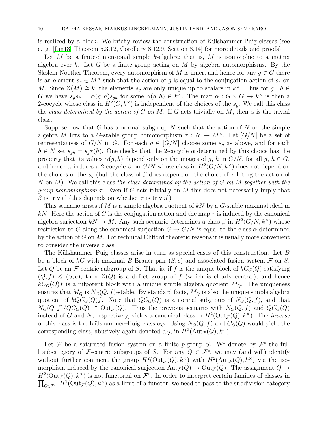is realized by a block. We briefly review the construction of Külshammer-Puig classes (see e. g. [\[Lin18,](#page-33-1) Theorem 5.3.12, Corollary 8.12.9, Section 8.14] for more details and proofs).

Let M be a finite-dimensional simple k-algebra; that is, M is isomorphic to a matrix algebra over k. Let G be a finite group acting on M by algebra automorphisms. By the Skolem-Noether Theorem, every automorphism of M is inner, and hence for any  $g \in G$  there is an element  $s_q \in M^\times$  such that the action of g is equal to the conjugation action of  $s_q$  on M. Since  $Z(M) \cong k$ , the elements  $s_g$  are only unique up to scalars in  $k^{\times}$ . Thus for  $g$ ,  $h \in$ G we have  $s_g s_h = \alpha(g,h)s_{gh}$  for some  $\alpha(g,h) \in k^{\times}$ . The map  $\alpha: G \times G \to k^{\times}$  is then a 2-cocycle whose class in  $H^2(G, k^{\times})$  is independent of the choices of the  $s_g$ . We call this class the class determined by the action of G on M. If G acts trivially on M, then  $\alpha$  is the trivial class.

Suppose now that G has a normal subgroup N such that the action of N on the simple algebra M lifts to a G-stable group homomorphism  $\tau : N \to M^{\times}$ . Let  $[G/N]$  be a set of representatives of  $G/N$  in G. For each  $g \in [G/N]$  choose some  $s_g$  as above, and for each  $h \in N$  set  $s_{gh} = s_g \tau(h)$ . One checks that the 2-cocycle  $\alpha$  determined by this choice has the property that its values  $\alpha(g, h)$  depend only on the images of g, h in  $G/N$ , for all g,  $h \in G$ , and hence  $\alpha$  induces a 2-cocycle  $\beta$  on  $G/N$  whose class in  $H^2(G/N, k^{\times})$  does not depend on the choices of the  $s_g$  (but the class of  $\beta$  does depend on the choice of  $\tau$  lifting the action of N on  $M$ ). We call this class the class determined by the action of  $G$  on  $M$  together with the *group homomorphism*  $\tau$ . Even if G acts trivially on M this does not necessarily imply that β is trivial (this depends on whether  $τ$  is trivial).

This scenario arises if M is a simple algebra quotient of  $kN$  by a G-stable maximal ideal in kN. Here the action of G is the conjugation action and the map  $\tau$  is induced by the canonical algebra surjection  $kN \to M$ . Any such scenario determines a class  $\beta$  in  $H^2(G/N, k^{\times})$  whose restriction to G along the canonical surjection  $G \to G/N$  is equal to the class  $\alpha$  determined by the action of  $G$  on  $M$ . For technical Clifford theoretic reasons it is usually more convenient to consider the inverse class.

The Külshammer–Puig classes arise in turn as special cases of this construction. Let  $B$ be a block of kG with maximal B-Brauer pair  $(S, e)$  and associated fusion system F on S. Let Q be an F-centric subgroup of S. That is, if f is the unique block of  $kC_G(Q)$  satisfying  $(Q, f) \leqslant (S, e)$ , then  $Z(Q)$  is a defect group of f (which is clearly central), and hence  $kC<sub>G</sub>(Q)f$  is a nilpotent block with a unique simple algebra quotient  $M_Q$ . The uniqueness ensures that  $M_Q$  is  $N_G(Q, f)$ -stable. By standard facts,  $M_Q$  is also the unique simple algebra quotient of  $kQC_G(Q)f$ . Note that  $QC_G(Q)$  is a normal subgroup of  $N_G(Q, f)$ , and that  $N_G(Q, f)/QC_G(Q) \cong \text{Out}_\mathcal{F}(Q)$ . Thus the previous scenario with  $N_G(Q, f)$  and  $QC_G(Q)$ instead of G and N, respectively, yields a canonical class in  $H^2(\text{Out}_{\mathcal{F}}(Q), k^{\times})$ . The *inverse* of this class is the Külshammer–Puig class  $\alpha_Q$ . Using  $N_G(Q, f)$  and  $C_G(Q)$  would yield the corresponding class, abusively again denoted  $\alpha_Q$ , in  $H^2(\text{Aut}_{\mathcal{F}}(Q), k^{\times}).$ 

Let F be a saturated fusion system on a finite p-group S. We denote by  $\mathcal{F}^c$  the full subcategory of F-centric subgroups of S. For any  $Q \in \mathcal{F}^c$ , we may (and will) identify without further comment the group  $H^2(\text{Out}_{\mathcal{F}}(Q), k^{\times})$  with  $H^2(\text{Aut}_{\mathcal{F}}(Q), k^{\times})$  via the isomorphism induced by the canonical surjection  $Aut_{\mathcal{F}}(Q) \to Out_{\mathcal{F}}(Q)$ . The assignment  $Q \mapsto$  $H^2(\text{Out}_{\mathcal{F}}(Q), k^{\times})$  is not functorial on  $\mathcal{F}^c$ . In order to interpret certain families of classes in  $\prod_{Q \in \mathcal{F}^c} H^2(\text{Out}_{\mathcal{F}}(Q), k^{\times})$  as a limit of a functor, we need to pass to the subdivision category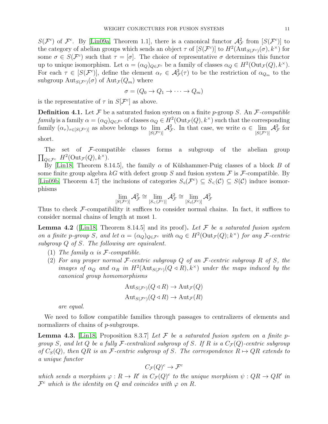$S(\mathcal{F}^c)$  of  $\mathcal{F}^c$ . By [\[Lin09a,](#page-33-16) Theorem 1.1], there is a canonical functor  $\mathcal{A}_{\mathcal{F}}^2$  from  $[S(\mathcal{F}^c)]$  to the category of abelian groups which sends an object  $\tau$  of  $[S(\mathcal{F}^c)]$  to  $H^2(\text{Aut}_{S(\mathcal{F}^c)}(\sigma), k^{\times})$  for some  $\sigma \in S(\mathcal{F}^c)$  such that  $\tau = [\sigma]$ . The choice of representative  $\sigma$  determines this functor up to unique isomorphism. Let  $\alpha = (\alpha_Q)_{Q \in \mathcal{F}^c}$  be a family of classes  $\alpha_Q \in H^2(\text{Out}_{\mathcal{F}}(Q), k^\times)$ . For each  $\tau \in [S(\mathcal{F}^c)]$ , define the element  $\alpha_{\tau} \in \mathcal{A}_{\mathcal{F}}^2(\tau)$  to be the restriction of  $\alpha_{Q_m}$  to the subgroup  $\text{Aut}_{S(\mathcal{F}^c)}(\sigma)$  of  $\text{Aut}_{\mathcal{F}}(Q_m)$  where

$$
\sigma = (Q_0 \to Q_1 \to \cdots \to Q_m)
$$

is the representative of  $\tau$  in  $S[\mathcal{F}^c]$  as above.

<span id="page-11-0"></span>**Definition 4.1.** Let F be a saturated fusion system on a finite p-group S. An F-compatible family is a family  $\alpha = (\alpha_Q)_{Q \in \mathcal{F}^c}$  of classes  $\alpha_Q \in H^2(\text{Out}_{\mathcal{F}}(Q), k^{\times})$  such that the corresponding family  $(\alpha_{\tau})_{\tau \in [S(\mathcal{F}^c)]}$  as above belongs to  $\lim_{S(\mathcal{F}^c)|} \mathcal{A}_{\mathcal{F}}^2$ . In that case, we write  $\alpha \in \lim_{S(\mathcal{F}^c)|} \mathcal{A}_{\mathcal{F}}^2$  for short.

The set of F-compatible classes forms a subgroup of the abelian group  $\prod_{Q \in \mathcal{F}^c} H^2(\mathrm{Out}_{\mathcal{F}}(Q), k^\times).$ 

By [\[Lin18,](#page-33-1) Theorem 8.14.5], the family  $\alpha$  of Külshammer-Puig classes of a block B of some finite group algebra kG with defect group S and fusion system  $\mathcal F$  is  $\mathcal F$ -compatible. By [\[Lin09b,](#page-33-8) Theorem 4.7] the inclusions of categories  $S_1(\mathcal{F}^c) \subseteq S_2(\mathcal{C}) \subseteq S(\mathcal{C})$  induce isomorphisms

$$
\lim_{[S(\mathcal{F}^c)]}\mathcal{A}_{\mathcal{F}}^2\cong\lim_{[S_{<}(\mathcal{F}^c)]}\mathcal{A}_{\mathcal{F}}^2\cong\lim_{[S_{\triangleleft}(\mathcal{F}^c)]}\mathcal{A}_{\mathcal{F}}^2
$$

Thus to check  $\mathcal F$ -compatibility it suffices to consider normal chains. In fact, it suffices to consider normal chains of length at most 1.

**Lemma 4.2** ([\[Lin18,](#page-33-1) Theorem 8.14.5] and its proof). Let  $\mathcal F$  be a saturated fusion system on a finite p-group S, and let  $\alpha = (\alpha_Q)_{Q \in \mathcal{F}^c}$  with  $\alpha_Q \in H^2(\text{Out}_{\mathcal{F}}(Q); k^{\times})$  for any *F*-centric subgroup Q of S. The following are equivalent.

- (1) The family  $\alpha$  is F-compatible.
- (2) For any proper normal F-centric subgroup  $Q$  of an F-centric subgroup  $R$  of  $S$ , the images of  $\alpha_Q$  and  $\alpha_R$  in  $H^2(\text{Aut}_{S(\mathcal{F}^c)}(Q \triangleleft R), k^{\times})$  under the maps induced by the canonical group homomorphisms

$$
\text{Aut}_{S(\mathcal{F}^c)}(Q \triangleleft R) \to \text{Aut}_{\mathcal{F}}(Q)
$$

$$
\text{Aut}_{S(\mathcal{F}^c)}(Q \triangleleft R) \to \text{Aut}_{\mathcal{F}}(R)
$$

are equal.

We need to follow compatible families through passages to centralizers of elements and normalizers of chains of *p*-subgroups.

<span id="page-11-1"></span>**Lemma 4.3.** [\[Lin18,](#page-33-1) Proposition 8.3.7] Let  $\mathcal F$  be a saturated fusion system on a finite pgroup S, and let Q be a fully F-centralized subgroup of S. If R is a  $C_{\mathcal{F}}(Q)$ -centric subgroup of  $C_S(Q)$ , then QR is an F-centric subgroup of S. The correspondence  $R \mapsto QR$  extends to a unique functor

$$
C_{\mathcal{F}}(Q)^c \to \mathcal{F}^c
$$

which sends a morphism  $\varphi: R \to R'$  in  $C_{\mathcal{F}}(Q)^c$  to the unique morphism  $\psi: QR \to QR'$  in  $\mathcal{F}^c$  which is the identity on Q and coincides with  $\varphi$  on R.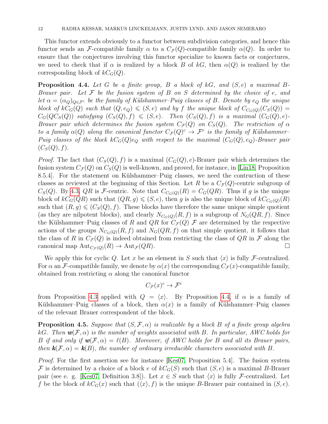This functor extends obviously to a functor between subdivision categories, and hence this functor sends an F-compatible family  $\alpha$  to a  $C_{\mathcal{F}}(Q)$ -compatible family  $\alpha(Q)$ . In order to ensure that the conjectures involving this functor specialize to known facts or conjectures, we need to check that if  $\alpha$  is realized by a block B of kG, then  $\alpha(Q)$  is realized by the corresponding block of  $kC_G(Q)$ .

<span id="page-12-1"></span>**Proposition 4.4.** Let G be a finite group, B a block of  $kG$ , and  $(S, e)$  a maximal B-Brauer pair. Let  $\mathcal F$  be the fusion system of  $B$  on  $S$  determined by the choice of e, and let  $\alpha = (\alpha_Q)_{Q \in \mathcal{F}^c}$  be the family of Külshammer–Puig classes of B. Denote by  $e_Q$  the unique block of  $kC_G(Q)$  such that  $(Q, e_Q) \leqslant (S, e)$  and by f the unique block of  $C_{C_G(Q)}(C_S(Q))$  =  $C_G(QC_S(Q))$  satisfying  $(C_S(Q), f) \leq (S, e)$ . Then  $(C_S(Q), f)$  is a maximal  $(C_G(Q), e)$ -Brauer pair which determines the fusion system  $C_{\mathcal{F}}(Q)$  on  $C_{S}(Q)$ . The restriction of  $\alpha$ to a family  $\alpha(Q)$  along the canonical functor  $C_{\mathcal{F}}(Q)^c \to \mathcal{F}^c$  is the family of Külshammer-Puig classes of the block  $kC_G(Q)e_Q$  with respect to the maximal  $(C_G(Q), e_Q)$ -Brauer pair  $(C_S(Q),f).$ 

*Proof.* The fact that  $(C_S(Q), f)$  is a maximal  $(C_G(Q), e)$ -Brauer pair which determines the fusion system  $C_{\mathcal{F}}(Q)$  on  $C_{\mathcal{S}}(Q)$  is well-known, and proved, for instance, in [\[Lin18,](#page-33-1) Proposition 8.5.4. For the statement on Külshammer–Puig classes, we need the contruction of these classes as reviewed at the beginning of this Section. Let R be a  $C_{\mathcal{F}}(Q)$ -centric subgroup of  $C_S(Q)$ . By [4.3,](#page-11-1) QR is F-centric. Note that  $C_{C_G(Q)}(R) = C_G(QR)$ . Thus if g is the unique block of  $kC_G(QR)$  such that  $(QR, g) \leqslant (S, e)$ , then g is also the unique block of  $kC_{C_G(Q)}(R)$ such that  $(R, g) \leq C_S(Q), f$ . These blocks have therefore the same unique simple quotient (as they are nilpotent blocks), and clearly  $N_{C_G(Q)}(R, f)$  is a subgroup of  $N_G(QR, f)$ . Since the Külshammer–Puig classes of R and QR for  $C_{\mathcal{F}}(Q)$  F are determined by the respective actions of the groups  $N_{C_G(Q)}(R, f)$  and  $N_G(QR, f)$  on that simple quotient, it follows that the class of R in  $C_{\mathcal{F}}(Q)$  is indeed obtained from restricting the class of  $QR$  in F along the canonical map  ${\rm Aut}_{C_{\mathcal{F}}(Q)}(R) \to {\rm Aut}_{\mathcal{F}}(QR).$ 

We apply this for cyclic Q. Let x be an element in S such that  $\langle x \rangle$  is fully F-centralized. For  $\alpha$  an F-compatible family, we denote by  $\alpha(x)$  the corresponding  $C_{\mathcal{F}}(x)$ -compatible family, obtained from restricting  $\alpha$  along the canonical functor

$$
C_{\mathcal{F}}(x)^c \to \mathcal{F}^c
$$

from Proposition [4.3](#page-11-1) applied with  $Q = \langle x \rangle$ . By Proposition [4.4,](#page-12-1) if  $\alpha$  is a family of Külshammer–Puig classes of a block, then  $\alpha(x)$  is a family of Külshammer–Puig classes of the relevant Brauer correspondent of the block.

<span id="page-12-0"></span>**Proposition 4.5.** Suppose that  $(S, \mathcal{F}, \alpha)$  is realizable by a block B of a finite group algebra kG. Then  $w(\mathcal{F}, \alpha)$  is the number of weights associated with B. In particular, AWC holds for B if and only if  $w(\mathcal{F}, \alpha) = \ell(B)$ . Moreover, if AWC holds for B and all its Brauer pairs, then  $\mathbf{k}(\mathcal{F}, \alpha) = \mathbf{k}(B)$ , the number of ordinary irreducible characters associated with B.

*Proof.* For the first assertion see for instance [\[Kes07,](#page-33-17) Proposition 5.4]. The fusion system F is determined by a choice of a block e of  $kC_G(S)$  such that  $(S, e)$  is a maximal B-Brauer pair (see e. g. [\[Kes07,](#page-33-17) Definition 3.8]). Let  $x \in S$  such that  $\langle x \rangle$  is fully F-centralized. Let f be the block of  $kC_G(x)$  such that  $(\langle x \rangle, f)$  is the unique B-Brauer pair contained in  $(S, e)$ .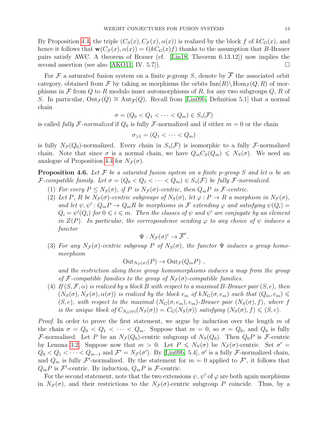By Proposition [4.4,](#page-12-1) the triple  $(C_S(x), C_{\mathcal{F}}(x), \alpha(x))$  is realized by the block f of  $kC_G(x)$ , and hence it follows that  $\mathbf{w}(C_{\mathcal{F}}(x), \alpha(x)) = \ell(kC_G(x)f)$  thanks to the assumption that B-Brauer pairs satisfy AWC. A theorem of Brauer (cf. [\[Lin18,](#page-33-1) Theorem 6.13.12]) now implies the second assertion (see also [\[AKO11,](#page-33-0) IV. 5.7]).  $\Box$ 

For F a saturated fusion system on a finite p-group S, denote by  $\overline{\mathcal{F}}$  the associated orbit category, obtained from F by taking as morphisms the orbits  $\text{Inn}(R)\setminus \text{Hom}_{\mathcal{F}}(Q, R)$  of morphisms in F from Q to R modulo inner automorphisms of R, for any two subgroups  $Q$ , R of S. In particular,  $Out_{\mathcal{F}}(Q) \cong Aut_{\mathcal{F}}(Q)$ . Recall from [\[Lin09b,](#page-33-8) Definition 5.1] that a normal chain

$$
\sigma = (Q_0 < Q_1 < \cdots < Q_m) \in S_d(\mathcal{F})
$$

is called fully F-normalized if  $Q_0$  is fully F-normalized and if either  $m = 0$  or the chain

$$
\sigma_{\geq 1} = (Q_1 < \cdots < Q_m)
$$

is fully  $N_{\mathcal{F}}(Q_0)$ -normalized. Every chain in  $S_0(\mathcal{F})$  is isomorphic to a fully  $\mathcal{F}$ -normalized chain. Note that since  $\sigma$  is a normal chain, we have  $Q_m C_S(Q_m) \leq N_S(\sigma)$ . We need an analogue of Proposition [4.4](#page-12-1) for  $N_{\mathcal{F}}(\sigma)$ .

<span id="page-13-0"></span>**Proposition 4.6.** Let F be a saturated fusion system on a finite p-group S and let  $\alpha$  be an F-compatible family. Let  $\sigma = (Q_0 < Q_1 < \cdots < Q_m) \in S_d(\mathcal{F})$  be fully F-normalized.

- (1) For every  $P \leq N_S(\sigma)$ , if P is  $N_{\mathcal{F}}(\sigma)$ -centric, then  $Q_m P$  is  $\mathcal{F}$ -centric.
- (2) Let P, R be  $N_{\mathcal{F}}(\sigma)$ -centric subgroups of  $N_S(\sigma)$ , let  $\varphi: P \to R$  a morphism in  $N_{\mathcal{F}}(\sigma)$ , and let  $\psi, \psi': Q_m P \to Q_m R$  be morphisms in F extending  $\varphi$  and satisfying  $\psi(Q_i)$  $Q_i = \psi'(Q_i)$  for  $0 \leq i \leq m$ . Then the classes of  $\psi$  and  $\psi'$  are conjugate by an element in  $Z(P)$ . In particular, the correspondence sending  $\varphi$  to any choice of  $\psi$  induces a functor

$$
\Psi: N_{\mathcal{F}}(\sigma)^c \to \overline{\mathcal{F}}^c.
$$

(3) For any  $N_{\mathcal{F}}(\sigma)$ -centric subgroup P of  $N_S(\sigma)$ , the functor  $\Psi$  induces a group homomorphism

$$
Out_{N_{\mathcal{F}}(\sigma)}(P) \to Out_{\mathcal{F}}(Q_m P) ,
$$

and the restriction along these group homomorphisms induces a map from the group of F-compatible families to the group of  $N_{\mathcal{F}}(\sigma)$ -compatible families.

(4) If  $(S, \mathcal{F}, \alpha)$  is realized by a block B with respect to a maximal B-Brauer pair  $(S, e)$ , then  $(N_S(\sigma), N_{\mathcal{F}}(\sigma), \alpha(\sigma))$  is realized by the block  $e_m$  of  $kN_G(\sigma, e_m)$  such that  $(Q_m, e_m)$  $(S, e)$ , with respect to the maximal  $(N_G(\sigma, e_m), e_m)$ -Brauer pair  $(N_S(\sigma), f)$ , where f is the unique block of  $C_{N_G(\sigma)}(N_S(\sigma)) = C_G(N_S(\sigma))$  satisfying  $(N_S(\sigma), f) \leqslant (S, e)$ .

*Proof.* In order to prove the first statement, we argue by induction over the length m of the chain  $\sigma = Q_0 < Q_1 < \cdots < Q_m$ . Suppose that  $m = 0$ , so  $\sigma = Q_0$ , and  $Q_0$  is fully F-normalised. Let P be an  $N_{\mathcal{F}}(Q_0)$ -centric subgroup of  $N_S(Q_0)$ . Then  $Q_0P$  is F-centric by Lemma [3.2.](#page-8-0) Suppose now that  $m > 0$ . Let  $P \leq N_S(\sigma)$  be  $N_F(\sigma)$ -centric. Set  $\sigma' =$  $Q_0 < Q_1 < \cdots < Q_{m-1}$  and  $\mathcal{F}' = N_{\mathcal{F}}(\sigma')$ . By [\[Lin09b,](#page-33-8) 5.4],  $\sigma'$  is a fully  $\mathcal{F}$ -normalized chain, and  $Q_m$  is fully F'-normalized. By the statement for  $m = 0$  applied to F', it follows that  $Q_m P$  is  $\mathcal{F}'$ -centric. By induction,  $Q_m P$  is  $\mathcal{F}$ -centric.

For the second statement, note that the two extensions  $\psi$ ,  $\psi'$  of  $\varphi$  are both again morphisms in  $N_{\mathcal{F}}(\sigma)$ , and their restrictions to the  $N_{\mathcal{F}}(\sigma)$ -centric subgroup P coincide. Thus, by a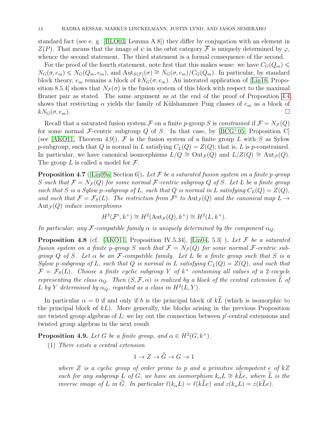standard fact (see e. g. [\[BLO03,](#page-33-14) Lemma A.8]) they differ by conjugation with an element in  $Z(P)$ . That means that the image of  $\psi$  in the orbit category  $\overline{\mathcal{F}}$  is uniquely determined by  $\varphi$ , whence the second statement. The third statement is a formal consequence of the second.

For the proof of the fourth statement, note first that this makes sense: we have  $C_G(Q_m) \leq$  $N_G(\sigma, e_m) \leq N_G(Q_m, e_m)$ , and  $\text{Aut}_{S(\mathcal{F})}(\sigma) \cong N_G(\sigma, e_m)/C_G(Q_m)$ . In particular, by standard block theory,  $e_m$  remains a block of  $kN_G(\sigma, e_m)$ . An interated application of [\[Lin18,](#page-33-1) Proposition 8.5.4] shows that  $N_{\mathcal{F}}(\sigma)$  is the fusion system of this block with respect to the maximal Brauer pair as stated. The same argument as at the end of the proof of Proposition [4.4](#page-12-1) shows that restricting  $\alpha$  yields the family of Külshammer–Puig classes of  $e_m$  as a block of  $kN_G(\sigma, e_m)$ .

Recall that a saturated fusion system F on a finite p-group S is constrained if  $\mathcal{F} = N_{\mathcal{F}}(Q)$ for some normal F-centric subgroup Q of S. In that case, by  $[BCG^+05,$  $[BCG^+05,$  Proposition C (see [\[AKO11,](#page-33-0) Theorem 4.9]),  $\mathcal F$  is the fusion system of a finite group L with S as Sylow p-subgroup, such that Q is normal in L satisfying  $C_L(Q) = Z(Q)$ ; that is, L is p-constrained. In particular, we have canonical isomorphisms  $L/Q \cong Out_{\mathcal{F}}(Q)$  and  $L/Z(Q) \cong Aut_{\mathcal{F}}(Q)$ . The group  $L$  is called a model for  $\mathcal{F}$ .

<span id="page-14-1"></span>**Proposition 4.7** ([\[Lin09a,](#page-33-16) Section 6]). Let F be a saturated fusion system on a finite p-group S such that  $\mathcal{F} = N_{\mathcal{F}}(Q)$  for some normal  $\mathcal{F}$ -centric subgroup Q of S. Let L be a finite group such that S is a Sylow p-subgroup of L, such that Q is normal in L satisfying  $C_L(Q) = Z(Q)$ , and such that  $\mathcal{F} = \mathcal{F}_S(L)$ . The restriction from  $\mathcal{F}^c$  to  $\text{Aut}_{\mathcal{F}}(Q)$  and the canonical map  $L \to$  $Aut_{\mathcal{F}}(Q)$  induce isomorphisms

$$
H^2(\mathcal{F}^c, k^\times) \cong H^2(\text{Aut}_{\mathcal{F}}(Q), k^\times) \cong H^2(L, k^\times).
$$

In particular, any F-compatible family  $\alpha$  is uniquely determined by the component  $\alpha_Q$ .

<span id="page-14-0"></span>**Proposition 4.8** (cf. [\[AKO11,](#page-33-0) Proposition IV.5.34], [\[Lin04,](#page-33-19) 5.3]). Let F be a saturated fusion system on a finite p-group S such that  $\mathcal{F} = N_{\mathcal{F}}(Q)$  for some normal F-centric subgroup Q of S. Let  $\alpha$  be an F-compatible family. Let L be a finite group such that S is a Sylow p-subgroup of L, such that Q is normal in L satisfying  $C_L(Q) = Z(Q)$ , and such that  $\mathcal{F} = \mathcal{F}_S(L)$ . Choose a finite cyclic subgroup Y of  $k^{\times}$  containing all values of a 2-cocycle representing the class  $\alpha_Q$ . Then  $(S, \mathcal{F}, \alpha)$  is realized by a block of the central extension  $\widehat{L}$  of L by Y determined by  $\alpha_Q$ , regarded as a class in  $H^2(L, Y)$ .

In particular  $\alpha = 0$  if and only if b is the principal block of  $k\hat{L}$  (which is isomorphic to the principal block of  $kL$ ). More generally, the blocks arising in the previous Proposition are twisted group algebras of  $L$ ; we lay out the connection between  $p'$ -central extensions and twisted group algebras in the next result

<span id="page-14-2"></span>**Proposition 4.9.** Let G be a finite group, and  $\alpha \in H^2(G, k^\times)$ .

(1) There exists a central extension

$$
1 \to Z \to \widetilde{G} \to G \to 1
$$

where  $Z$  is a cyclic group of order prime to p and a primitive idempotent e of  $kZ$ such for any subgroup L of G, we have an isomorphism  $k_{\alpha}L \cong k\tilde{L}e$ , where  $\tilde{L}$  is the inverse image of L in  $\tilde{G}$ . In particular  $\ell(k_{\alpha}L) = \ell(k\tilde{L}e)$  and  $z(k_{\alpha}L) = z(k\tilde{L}e)$ .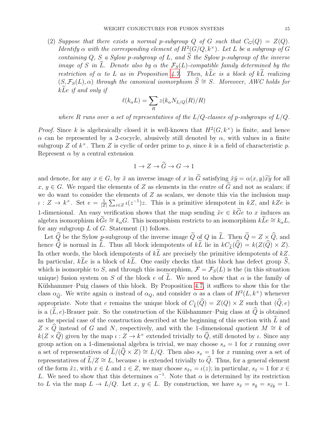(2) Suppose that there exists a normal p-subgroup Q of G such that  $C_G(Q) = Z(Q)$ . Identify  $\alpha$  with the corresponding element of  $H^2(G/Q, k^{\times})$ . Let L be a subgroup of G containing Q, S a Sylow p-subgroup of L, and  $\widehat{S}$  the Sylow p-subgroup of the inverse image of S in  $\tilde{L}$ . Denote also by  $\alpha$  the  $\mathcal{F}_{S}(L)$ -compatible family determined by the restriction of  $\alpha$  to L as in Proposition [4.7.](#page-14-1) Then,  $k\tilde{L}e$  is a block of  $k\tilde{L}$  realizing  $(S, \mathcal{F}_{S}(L), \alpha)$  through the canonical isomorphism  $\widehat{S} \cong S$ . Moreover, AWC holds for  $k\tilde{L}e$  if and only if

$$
\ell(k_{\alpha}L) = \sum_{R} z(k_{\alpha}N_{L/Q}(R)/R)
$$

where R runs over a set of representatives of the  $L/Q$ -classes of p-subgroups of  $L/Q$ .

*Proof.* Since k is algebraically closed it is well-known that  $H^2(G, k^{\times})$  is finite, and hence α can be represented by a 2-cocycle, abusively still denoted by  $\alpha$ , with values in a finite subgroup Z of  $k^{\times}$ . Then Z is cyclic of order prime to p, since k is a field of characteristic p. Represent  $\alpha$  by a central extension

$$
1 \to Z \to \widetilde{G} \to G \to 1
$$

and denote, for any  $x \in G$ , by  $\tilde{x}$  an inverse image of x in  $\tilde{G}$  satisfying  $\tilde{x}\tilde{y} = \alpha(x, y)\tilde{x}\tilde{y}$  for all  $x, y \in G$ . We regard the elements of Z as elements in the centre of G and not as scalars; if we do want to consider the elements of  $Z$  as scalars, we denote this via the inclusion map  $\iota: Z \to k^{\times}$ . Set  $e = \frac{1}{\sqrt{2}}$  $\frac{1}{|Z|}\sum_{z\in Z} \iota(z^{-1})z$ . This is a primitive idempotent in  $kZ$ , and  $kZe$  is 1-dimenional. An easy verification shows that the map sending  $\tilde{x}e \in k\tilde{G}e$  to x induces an algebra isomorphism  $k\tilde{G}e \cong k_{\alpha}G$ . This isomorphism restricts to an isomorphism  $k\tilde{L}e \cong k_{\alpha}L$ , for any subgroup  $L$  of  $G$ . Statement (1) follows.

Let  $\widehat{Q}$  be the Sylow p-subgroup of the inverse image  $\widetilde{Q}$  of Q in  $\widetilde{L}$ . Then  $\widetilde{Q} = Z \times \widehat{Q}$ , and hence  $\widehat{Q}$  is normal in  $\widetilde{L}$ . Thus all block idempotents of  $k\widetilde{L}$  lie in  $kC_{\widetilde{L}}(\widehat{Q}) = k(Z(\widehat{Q}) \times Z)$ . In other words, the block idempotents of  $k\bar{L}$  are precisely the primitive idempotents of  $kZ$ . In particular, kLe is a block of kL. One easily checks that this block has defect group  $\hat{S}$ , which is isomorphic to S, and through this isomorphism,  $\mathcal{F} = \mathcal{F}_S(L)$  is the (in this situation unique) fusion system on S of the block e of L. We need to show that  $\alpha$  is the family of Külshammer–Puig classes of this block. By Proposition [4.7,](#page-14-1) it suffices to show this for the class  $\alpha_{\widehat{Q}}$ . We write again  $\alpha$  instead of  $\alpha_Q$ , and consider  $\alpha$  as a class of  $H^2(L, k^{\times})$  whenever appropriate. Note that e remains the unique block of  $C_{\tilde{L}}(\hat{Q}) = Z(Q) \times Z$  such that  $(\hat{Q}, e)$ is a  $(\widetilde{L}, e)$ -Brauer pair. So the construction of the Külshammer–Puig class at  $\widehat{Q}$  is obtained as the special case of the construction described at the beginning of this section with  $\widetilde{L}$  and  $Z \times \widehat{Q}$  instead of G and N, respectively, and with the 1-dimensional quotient  $M \cong k$  of  $k(Z \times \widehat{Q})$  given by the map  $\iota : Z \to k^{\times}$  extended trivially to  $\widehat{Q}$ , still denoted by  $\iota$ . Since any group action on a 1-dimensional algebra is trivial, we may choose  $s_x = 1$  for x running over a set of representatives of  $\widetilde{L}/(\widehat{Q}\times Z) \cong L/Q$ . Then also  $s_x = 1$  for x running over a set of representatives of  $\tilde{L}/Z \cong L$ , because  $\iota$  is extended trivially to  $\hat{Q}$ . Thus, for a general element of the form  $\tilde{x}z$ , with  $x \in L$  and  $z \in Z$ , we may choose  $s_{\tilde{x}z} = \iota(z)$ ; in particular,  $s_{\tilde{x}} = 1$  for  $x \in L$ L. We need to show that this determines  $\alpha^{-1}$ . Note that  $\alpha$  is determined by its restriction to L via the map  $L \to L/Q$ . Let  $x, y \in L$ . By construction, we have  $s_{\tilde{x}} = s_{\tilde{y}} = s_{\tilde{xy}} = 1$ .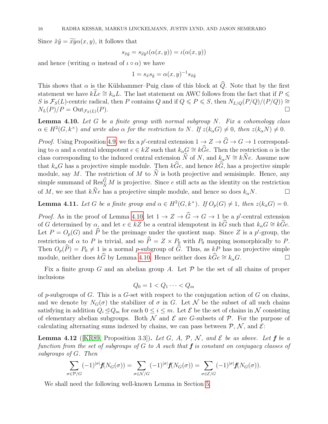Since  $\tilde{x}\tilde{y} = \tilde{x}\tilde{y}\alpha(x, y)$ , it follows that

$$
s_{\tilde{x}\tilde{y}} = s_{\tilde{x}\tilde{y}}\iota(\alpha(x,y)) = \iota(\alpha(x,y))
$$

and hence (writing  $\alpha$  instead of  $\iota \circ \alpha$ ) we have

$$
1 = s_{\tilde{x}} s_{\tilde{y}} = \alpha(x, y)^{-1} s_{\tilde{x}\tilde{y}}
$$

This shows that  $\alpha$  is the Külshammer–Puig class of this block at  $\widehat{Q}$ . Note that by the first statement we have  $kLe \cong k_{\alpha}L$ . The last statement on AWC follows from the fact that if  $P \leq$ S is  $\mathcal{F}_S(L)$ -centric radical, then P contains Q and if  $Q \leq P \leq S$ , then  $N_{L/Q}(P/Q)/(P/Q)) \cong$  $N_L(P)/P = \mathrm{Out}_{\mathcal{F}_S(L)}(P).$ 

<span id="page-16-1"></span>**Lemma 4.10.** Let  $G$  be a finite group with normal subgroup  $N$ . Fix a cohomology class  $\alpha \in H^2(G, k^{\times})$  and write also  $\alpha$  for the restriction to N. If  $z(k_{\alpha}G) \neq 0$ , then  $z(k_{\alpha}N) \neq 0$ .

*Proof.* Using Proposition [4.9,](#page-14-2) we fix a p'-central extension  $1 \to Z \to \widehat{G} \to G \to 1$  corresponding to  $\alpha$  and a central idempotent  $e \in kZ$  such that  $k_{\alpha}G \cong k\widehat{G}e$ . Then the restriction  $\alpha$  is the class corresponding to the induced central extension  $\widehat{N}$  of N, and  $k_{\alpha}N \cong k\widehat{N}e$ . Assume now that  $k_{\alpha}G$  has a projective simple module. Then  $k\widehat{G}e$ , and hence  $k\widehat{G}$ , has a projective simple module, say M. The restriction of M to  $\widehat{N}$  is both projective and semisimple. Hence, any simple summand of  $\operatorname{Res}_{\widehat{N}}^G M$  is projective. Since e still acts as the identity on the restriction of M, we see that  $k\hat{N}e$  has a projective simple module, and hence so does  $k_{\alpha}N$ .

<span id="page-16-0"></span>**Lemma 4.11.** Let G be a finite group and  $\alpha \in H^2(G, k^{\times})$ . If  $O_p(G) \neq 1$ , then  $z(k_{\alpha}G) = 0$ .

*Proof.* As in the proof of Lemma [4.10,](#page-16-1) let  $1 \to Z \to \widehat{G} \to G \to 1$  be a p'-central extension of G determined by  $\alpha$ , and let  $e \in kZ$  be a central idempotent in  $k\hat{G}$  such that  $k_{\alpha}G \cong k\hat{G}e$ . Let  $P = O_p(G)$  and  $\widehat{P}$  be the preimage under the quotient map. Since Z is a p'-group, the restriction of  $\alpha$  to P is trivial, and so  $\widehat{P} = Z \times P_0$  with  $P_0$  mapping isomorphically to P. Then  $O_p(\widehat{P}) = P_0 \neq 1$  is a normal p-subgroup of  $\widehat{G}$ . Thus, as  $kP$  has no projective simple module, neither does  $k\widehat{G}$  by Lemma 4.10. Hence neither does  $k\widehat{G}e \cong k_\infty G$ . module, neither does  $k\hat{G}$  by Lemma [4.10.](#page-16-1) Hence neither does  $k\hat{G}e \cong k_{\alpha}G$ .

Fix a finite group G and an abelian group A. Let  $\mathcal P$  be the set of all chains of proper inclusions

$$
Q_0 = 1 < Q_1 \cdots < Q_m
$$

of p-subgroups of G. This is a G-set with respect to the conjugation action of G on chains, and we denote by  $N_G(\sigma)$  the stabilizer of  $\sigma$  in G. Let N be the subset of all such chains satisfying in addition  $Q_i \Delta Q_m$  for each  $0 \le i \le m$ . Let  $\mathcal E$  be the set of chains in N consisting of elementary abelian subgroups. Both  $\mathcal N$  and  $\mathcal E$  are G-subsets of  $\mathcal P$ . For the purpose of calculating alternating sums indexed by chains, we can pass between  $P, N$ , and  $E$ :

<span id="page-16-2"></span>**Lemma 4.12** (KR89, Proposition 3.3)). Let G, A, P, N, and  $\mathcal{E}$  be as above. Let f be a function from the set of subgroups of G to A such that  $f$  is constant on conjugacy classes of subgroups of G. Then

$$
\sum_{\sigma \in \mathcal{P}/G} (-1)^{|\sigma|} f(N_G(\sigma)) = \sum_{\sigma \in \mathcal{N}/G} (-1)^{|\sigma|} f(N_G(\sigma)) = \sum_{\sigma \in \mathcal{E}/G} (-1)^{|\sigma|} f(N_G(\sigma)).
$$

We shall need the following well-known Lemma in Section [5.](#page-18-0)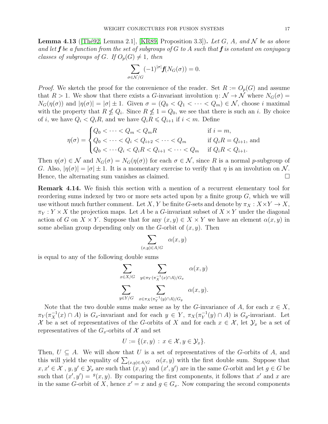<span id="page-17-1"></span>**Lemma 4.13** (Thé92, Lemma 2.1], [\[KR89,](#page-33-9) Proposition 3.3]). Let G, A, and N be as above and let **f** be a function from the set of subgroups of G to A such that **f** is constant on conjugacy classes of subgroups of G. If  $O_p(G) \neq 1$ , then

$$
\sum_{\sigma \in \mathcal{N}/G} (-1)^{|\sigma|} \mathbf{f}(N_G(\sigma)) = 0.
$$

*Proof.* We sketch the proof for the convenience of the reader. Set  $R := O_p(G)$  and assume that  $R > 1$ . We show that there exists a G-invariant involution  $\eta \colon \mathcal{N} \to \mathcal{N}$  where  $N_G(\sigma) =$  $N_G(\eta(\sigma))$  and  $|\eta(\sigma)| = |\sigma| \pm 1$ . Given  $\sigma = (Q_0 < Q_1 < \cdots < Q_m) \in \mathcal{N}$ , choose i maximal with the property that  $R \nleq Q_i$ . Since  $R \nleq 1 = Q_0$ , we see that there is such an i. By choice of *i*, we have  $Q_i < Q_i R$ , and we have  $Q_i R \leq Q_{i+1}$  if  $i < m$ . Define

$$
\eta(\sigma) = \begin{cases} Q_0 < \dots < Q_m < Q_m R \\ Q_0 < \dots < Q_i < Q_{i+2} < \dots < Q_m \\ Q_0 < \dots < Q_i < Q_i R < Q_{i+1} < \dots < Q_m \end{cases} \quad \text{if } Q_i R = Q_{i+1}, \text{ and } Q_i R < Q_{i+1}.
$$

Then  $\eta(\sigma) \in \mathcal{N}$  and  $N_G(\sigma) = N_G(\eta(\sigma))$  for each  $\sigma \in \mathcal{N}$ , since R is a normal p-subgroup of G. Also,  $|\eta(\sigma)| = |\sigma| \pm 1$ . It is a momentary exercise to verify that  $\eta$  is an involution on N. Hence, the alternating sum vanishes as claimed.

<span id="page-17-0"></span>Remark 4.14. We finish this section with a mention of a recurrent elementary tool for reordering sums indexed by two or more sets acted upon by a finite group  $G$ , which we will use without much further comment. Let X, Y be finite G-sets and denote by  $\pi_X : X \times Y \to X$ ,  $\pi_Y: Y \times X$  the projection maps. Let A be a G-invariant subset of  $X \times Y$  under the diagonal action of G on  $X \times Y$ . Suppose that for any  $(x, y) \in X \times Y$  we have an element  $\alpha(x, y)$  in some abelian group depending only on the G-orbit of  $(x, y)$ . Then

$$
\sum_{(x,y)\in A/G} \alpha(x,y)
$$

is equal to any of the following double sums

$$
\sum_{x \in X/G} \sum_{y \in \pi_Y(\pi_X^{-1}(x) \cap A)/G_x} \alpha(x, y)
$$

$$
\sum_{y \in Y/G} \sum_{x \in \pi_X(\pi_Y^{-1}(y) \cap A)/G_y} \alpha(x, y).
$$

Note that the two double sums make sense as by the G-invariance of A, for each  $x \in X$ ,  $\pi_Y(\pi_X^{-1}(x) \cap A)$  is  $G_x$ -invariant and for each  $y \in Y$ ,  $\pi_X(\pi_Y^{-1}(x))$  $_Y^{-1}(y) \cap A$ ) is  $G_y$ -invariant. Let X be a set of representatives of the G-orbits of X and for each  $x \in \mathcal{X}$ , let  $\mathcal{Y}_x$  be a set of representatives of the  $G_x$ -orbits of X and set

$$
U := \{(x, y) : x \in \mathcal{X}, y \in \mathcal{Y}_x\}.
$$

Then,  $U \subseteq A$ . We will show that U is a set of representatives of the G-orbits of A, and this will yield the equality of  $\sum_{(x,y)\in A/G} \alpha(x,y)$  with the first double sum. Suppose that  $x, x' \in \mathcal{X}$ ,  $y, y' \in \mathcal{Y}_x$  are such that  $(x, y)$  and  $(x', y')$  are in the same G-orbit and let  $g \in G$  be such that  $(x', y') = f(x, y)$ . By comparing the first components, it follows that x' and x are in the same G-orbit of X, hence  $x' = x$  and  $g \in G_x$ . Now comparing the second components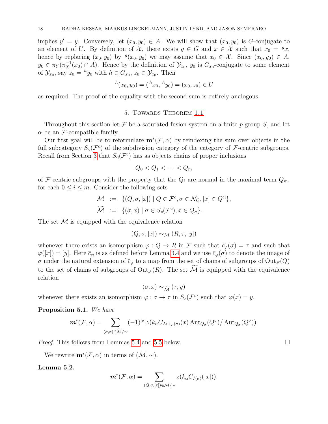implies  $y' = y$ . Conversely, let  $(x_0, y_0) \in A$ . We will show that  $(x_0, y_0)$  is G-conjugate to an element of U. By definition of X, there exists  $g \in G$  and  $x \in \mathcal{X}$  such that  $x_0 = {}^gx$ , hence by replacing  $(x_0, y_0)$  by  $^g(x_0, y_0)$  we may assume that  $x_0 \in \mathcal{X}$ . Since  $(x_0, y_0) \in A$ ,  $y_0 \in \pi_Y(\pi_X^{-1}(x_0) \cap A)$ . Hence by the definition of  $\mathcal{Y}_{x_0}$ ,  $y_0$  is  $G_{x_0}$ -conjugate to some element of  $\mathcal{Y}_{x_0}$ , say  $z_0 = {}^h y_0$  with  $h \in G_{x_0}, z_0 \in \mathcal{Y}_{x_0}$ . Then

$$
{}^{h}(x_0, y_0) = ({}^{h}x_0, {}^{h}y_0) = (x_0, z_0) \in U
$$

as required. The proof of the equality with the second sum is entirely analogous.

# 5. TOWARDS THEOREM [1.1](#page-3-0)

<span id="page-18-0"></span>Throughout this section let F be a saturated fusion system on a finite p-group S, and let  $\alpha$  be an *F*-compatible family.

Our first goal will be to reformulate  $\mathbf{m}^*(\mathcal{F}, \alpha)$  by reindexing the sum over objects in the full subcategory  $S_4(\mathcal{F}^c)$  of the subdivision category of the category of  $\mathcal{F}$ -centric subgroups. Recall from Section [3](#page-7-0) that  $S_q(\mathcal{F}^c)$  has as objects chains of proper inclusions

$$
Q_0 < Q_1 < \cdots < Q_m
$$

of F-centric subgroups with the property that the  $Q_i$  are normal in the maximal term  $Q_m$ , for each  $0 \leq i \leq m$ . Consider the following sets

$$
\mathcal{M} := \{ (Q, \sigma, [x]) \mid Q \in \mathcal{F}^c, \sigma \in \mathcal{N}_Q, [x] \in Q^{\text{cl}} \},\
$$
  

$$
\widetilde{\mathcal{M}} := \{ (\sigma, x) \mid \sigma \in S_{\text{cl}}(\mathcal{F}^c), x \in Q_{\sigma} \}.
$$

The set  $\mathcal M$  is equipped with the equivalence relation

$$
(Q, \sigma, [x]) \sim_{\mathcal{M}} (R, \tau, [y])
$$

whenever there exists an isomorphism  $\varphi: Q \to R$  in F such that  $\bar{c}_{\varphi}(\sigma) = \tau$  and such that  $\varphi([x]) = [y]$ . Here  $\bar{c}_{\varphi}$  is as defined before Lemma [3.4](#page-8-1) and we use  $\bar{c}_{\varphi}(\sigma)$  to denote the image of σ under the natural extension of  $\overline{c}_{\varphi}$  to a map from the set of chains of subgroups of Out<sub>*F*</sub>(*Q*) to the set of chains of subgroups of  $\text{Out}_{\mathcal{F}}(R)$ . The set  $\widetilde{\mathcal{M}}$  is equipped with the equivalence relation

$$
(\sigma, x) \sim_{\widetilde{\mathcal{M}}} (\tau, y)
$$

whenever there exists an isomorphism  $\varphi : \sigma \to \tau$  in  $S_{\sigma}(\mathcal{F}^c)$  such that  $\varphi(x) = y$ .

<span id="page-18-2"></span>Proposition 5.1. We have

$$
\mathbf{m}^*(\mathcal{F}, \alpha) = \sum_{(\sigma, x) \in \widetilde{\mathcal{M}}/\sim} (-1)^{|\sigma|} z (k_\alpha C_{\mathrm{Aut}_{\mathcal{F}}(\sigma)}(x) \mathrm{Aut}_{Q_\sigma}(Q^\sigma) / \mathrm{Aut}_{Q_\sigma}(Q^\sigma)).
$$

Proof. This follows from Lemmas [5.4](#page-19-0) and [5.5](#page-19-1) below.

We rewrite  $\mathbf{m}^*(\mathcal{F}, \alpha)$  in terms of  $(\mathcal{M}, \sim)$ .

# <span id="page-18-1"></span>Lemma 5.2.

$$
\boldsymbol{m}^*(\mathcal{F}, \alpha) = \sum_{(Q, \sigma, [x]) \in \mathcal{M}/\sim} z(k_\alpha C_{I(\sigma)}([x])).
$$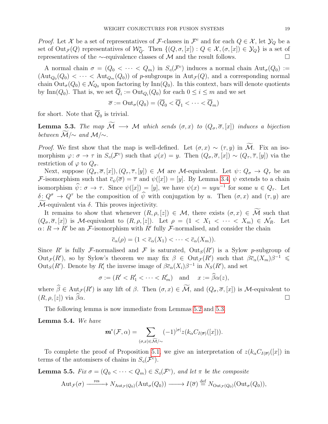*Proof.* Let X be a set of representatives of F-classes in  $\mathcal{F}^c$  and for each  $Q \in \mathcal{X}$ , let  $\mathcal{Y}_Q$  be a set of  $Out_{\mathcal{F}}(Q)$  representatives of  $\mathcal{W}_Q^*$ . Then  $\{(Q, \sigma, [x]) : Q \in \mathcal{X}, (\sigma, [x]) \in \mathcal{Y}_Q\}$  is a set of representatives of the ∼-equivalence classes of M and the result follows.  $\Box$ 

A normal chain  $\sigma = (Q_0 < \cdots < Q_m)$  in  $S_q(\mathcal{F}^c)$  induces a normal chain  $\text{Aut}_{\sigma}(Q_0) :=$  $(\text{Aut}_{Q_0}(Q_0) < \cdots < \text{Aut}_{Q_m}(Q_0))$  of p-subgroups in  $\text{Aut}_{\mathcal{F}}(Q)$ , and a corresponding normal chain  $Out_{\sigma}(Q_0) \in \mathcal{N}_{Q_0}$  upon factoring by Inn( $Q_0$ ). In this context, bars will denote quotients by Inn( $Q_0$ ). That is, we set  $\overline{Q}_i := \text{Out}_{Q_i}(Q_0)$  for each  $0 \le i \le m$  and we set

$$
\overline{\sigma} := \mathrm{Out}_{\sigma}(Q_0) = (\overline{Q}_0 < \overline{Q}_1 < \cdots < \overline{Q}_m)
$$

for short. Note that  $Q_0$  is trivial.

<span id="page-19-2"></span>**Lemma 5.3.** The map  $\widetilde{\mathcal{M}} \longrightarrow \mathcal{M}$  which sends  $(\sigma, x)$  to  $(Q_{\sigma}, \overline{\sigma}, [x])$  induces a bijection between  $\widetilde{\mathcal{M}}/\sim$  and  $\mathcal{M}/\sim$ .

*Proof.* We first show that the map is well-defined. Let  $(\sigma, x) \sim (\tau, y)$  in  $\widetilde{\mathcal{M}}$ . Fix an isomorphism  $\varphi: \sigma \to \tau$  in  $S_{\sigma}(\mathcal{F}^c)$  such that  $\varphi(x) = y$ . Then  $(Q_{\sigma}, \overline{\sigma}, [x]) \sim (Q_{\tau}, \overline{\tau}, [y])$  via the restriction of  $\varphi$  to  $Q_{\sigma}$ .

Next, suppose  $(Q_{\sigma}, \overline{\sigma}, [x])$ ,  $(Q_{\tau}, \overline{\tau}, [y]) \in \mathcal{M}$  are M-equivalent. Let  $\psi \colon Q_{\sigma} \to Q_{\tau}$  be an *F*-isomorphism such that  $\bar{c}_{\psi}(\bar{\sigma}) = \bar{\tau}$  and  $\psi([x]) = [y]$ . By Lemma [3.4,](#page-8-1)  $\psi$  extends to a chain isomorphism  $\hat{\psi}$ :  $\sigma \to \tau$ . Since  $\psi([x]) = [y]$ , we have  $\psi(x) = uyu^{-1}$  for some  $u \in Q_{\tau}$ . Let  $\delta: Q^{\sigma} \to Q^{\tau}$  be the composition of  $\hat{\psi}$  with conjugation by u. Then  $(\sigma, x)$  and  $(\tau, y)$  are  $M$ -equivalent via  $\delta$ . This proves injectivity.

It remains to show that whenever  $(R, \rho, z] \in \mathcal{M}$ , there exists  $(\sigma, x) \in \widetilde{\mathcal{M}}$  such that  $(Q_{\sigma}, \overline{\sigma}, [x])$  is M-equivalent to  $(R, \rho, [z])$ . Let  $\rho = (1 \langle X_1 \langle \cdots \langle X_m \rangle) \in \mathcal{N}_R$ . Let  $\alpha: R \to R'$  be an F-isomorphism with R' fully F-normalised, and consider the chain

$$
\overline{c}_{\alpha}(\rho) = (1 < \overline{c}_{\alpha}(X_1) < \cdots < \overline{c}_{\alpha}(X_m)).
$$

Since R' is fully F-normalised and F is saturated,  $Out_S(R')$  is a Sylow p-subgroup of  $Out_{\mathcal{F}}(R')$ , so by Sylow's theorem we may fix  $\beta \in Out_{\mathcal{F}}(R')$  such that  $\beta \bar{c}_\alpha(X_m)\beta^{-1} \leq$ Out<sub>S</sub>(R'). Denote by R'<sub>i</sub> the inverse image of  $\beta \bar{c}_\alpha(X_i) \beta^{-1}$  in  $N_S(R')$ , and set

$$
\sigma := (R' < R_1' < \cdots < R_m') \quad \text{and} \quad x := \widehat{\beta}\alpha(z),
$$

where  $\widehat{\beta} \in \text{Aut}_{\mathcal{F}}(R')$  is any lift of  $\beta$ . Then  $(\sigma, x) \in \mathcal{M}$ , and  $(Q_{\sigma}, \overline{\sigma}, [x])$  is  $\mathcal{M}$ -equivalent to  $(R, \rho, [z])$  via  $\widehat{\beta}\alpha$ .

The following lemma is now immediate from Lemmas [5.2](#page-18-1) and [5.3.](#page-19-2)

<span id="page-19-0"></span>Lemma 5.4. We have

$$
\boldsymbol{m}^*(\mathcal{F}, \alpha) = \sum_{(\sigma, x) \in \widetilde{\mathcal{M}}/\sim} (-1)^{|\sigma|} z(k_\alpha C_{I(\overline{\sigma})}([x])).
$$

To complete the proof of Proposition [5.1,](#page-18-2) we give an interpretation of  $z(k_{\alpha}C_{I(\overline{\sigma})}([x])$  in terms of the automisers of chains in  $S_q(\mathcal{F}^c)$ .

<span id="page-19-1"></span>**Lemma 5.5.** Fix  $\sigma = (Q_0 < \cdots < Q_m) \in S_d(\mathcal{F}^c)$ , and let  $\pi$  be the composite

$$
\mathrm{Aut}_{\mathcal{F}}(\sigma) \xrightarrow{\mathrm{res}} N_{\mathrm{Aut}_{\mathcal{F}}(Q_0)}(\mathrm{Aut}_{\sigma}(Q_0)) \longrightarrow I(\overline{\sigma}) \stackrel{\mathrm{def}}{=} N_{\mathrm{Out}_{\mathcal{F}}(Q_0)}(\mathrm{Out}_{\sigma}(Q_0)),
$$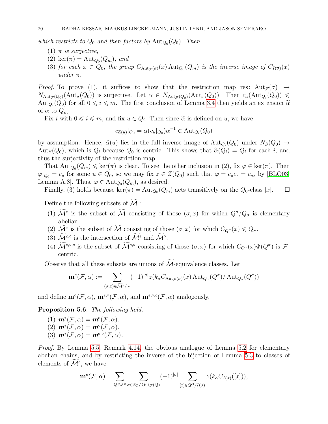which restricts to  $Q_0$  and then factors by  $\text{Aut}_{Q_0}(Q_0)$ . Then

- (1)  $\pi$  is surjective,
- (2) ker $(\pi)$  = Aut<sub>Q<sub>0</sub></sub>( $Q_m$ ), and
- (3) for each  $x \in Q_0$ , the group  $C_{\text{Aut}_{\mathcal{F}}(\sigma)}(x)$  Aut $_{Q_0}(Q_m)$  is the inverse image of  $C_{I(\overline{\sigma})}(x)$ under  $\pi$ .

*Proof.* To prove (1), it suffices to show that the restriction map res:  $Aut_{\mathcal{F}}(\sigma) \rightarrow$  $N_{\text{Aut}_{\mathcal{F}}(Q_0)}(\text{Aut}_{\sigma}(Q_0))$  is surjective. Let  $\alpha \in N_{\text{Aut}_{\mathcal{F}}(Q_0)}(\text{Aut}_{\sigma}(Q_0))$ . Then  $c_{\alpha}(\text{Aut}_{Q_i}(Q_0)) \leq$ Aut<sub>Q<sub>i</sub></sub>( $Q_0$ ) for all  $0 \le i \le m$ . The first conclusion of Lemma [3.4](#page-8-1) then yields an extension  $\tilde{\alpha}$ of  $\alpha$  to  $Q_m$ .

Fix *i* with  $0 \le i \le m$ , and fix  $u \in Q_i$ . Then since  $\tilde{\alpha}$  is defined on *u*, we have

$$
c_{\widetilde{\alpha}(u)}|_{Q_0} = \alpha(c_u|_{Q_0})\alpha^{-1} \in \text{Aut}_{Q_i}(Q_0)
$$

by assumption. Hence,  $\tilde{\alpha}(u)$  lies in the full inverse image of  $\text{Aut}_{Q_i}(Q_0)$  under  $N_S(Q_0) \rightarrow$ Aut<sub>S</sub>( $Q_0$ ), which is  $Q_i$  because  $Q_0$  is centric. This shows that  $\tilde{\alpha}(Q_i) = Q_i$  for each i, and thus the surjectivity of the restriction map thus the surjectivity of the restriction map.

That  ${\rm Aut}_{Q_0}(Q_m) \leqslant \ker(\pi)$  is clear. To see the other inclusion in (2), fix  $\varphi \in \ker(\pi)$ . Then  $\varphi|_{Q_0} = c_u$  for some  $u \in Q_0$ , so we may fix  $z \in Z(Q_0)$  such that  $\varphi = c_u c_z = c_{uz}$  by [\[BLO03,](#page-33-14) Lemma A.8]. Thus,  $\varphi \in \text{Aut}_{Q_0}(Q_m)$ , as desired.

Finally, (3) holds because  $\ker(\pi) = \text{Aut}_{Q_0}(Q_m)$  acts transitively on the  $Q_0$ -class [x].  $\Box$ 

Define the following subsets of  $\widetilde{\mathcal{M}}$ :

- (1)  $\mathcal{M}^e$  is the subset of  $\mathcal M$  consisting of those  $(\sigma, x)$  for which  $Q^{\sigma}/Q_{\sigma}$  is elementary abelian.
- (2)  $\widetilde{\mathcal{M}}$ <sup>°</sup> is the subset of  $\widetilde{\mathcal{M}}$  consisting of those  $(\sigma, x)$  for which  $C_{Q^{\sigma}}(x) \leqslant Q_{\sigma}$ .
- (3)  $\widetilde{\mathcal{M}}^{e,\circ}$  is the intersection of  $\widetilde{\mathcal{M}}^e$  and  $\widetilde{\mathcal{M}}^{\circ}$ .
- (4)  $\mathcal{M}^{e, \circ, c}$  is the subset of  $\mathcal{M}^{e, \circ}$  consisting of those  $(\sigma, x)$  for which  $C_{Q^{\sigma}}(x)\Phi(Q^{\sigma})$  is  $\mathcal{F}$ centric.

Observe that all these subsets are unions of  $M$ -equivalence classes. Let

$$
\mathbf{m}^e(\mathcal{F}, \alpha) := \sum_{(\sigma, x) \in \widetilde{\mathcal{M}}^e/\sim} (-1)^{|\sigma|} z(k_\alpha C_{\mathrm{Aut}_{\mathcal{F}}(\sigma)}(x) \operatorname{Aut}_{Q_\sigma}(Q^\sigma) / \operatorname{Aut}_{Q_\sigma}(Q^\sigma))
$$

and define  $\mathbf{m}^{\circ}(\mathcal{F},\alpha)$ ,  $\mathbf{m}^{e,\circ}(\mathcal{F},\alpha)$ , and  $\mathbf{m}^{e,\circ,c}(\mathcal{F},\alpha)$  analogously.

<span id="page-20-0"></span>Proposition 5.6. The following hold.

- (1)  $\mathbf{m}^*(\mathcal{F}, \alpha) = \mathbf{m}^e(\mathcal{F}, \alpha).$ (2)  $\mathbf{m}^*(\mathcal{F}, \alpha) = \mathbf{m}^{\circ}(\mathcal{F}, \alpha).$
- (3)  $m^*(\mathcal{F}, \alpha) = m^{e, \circ}(\mathcal{F}, \alpha).$

Proof. By Lemma [5.5,](#page-19-1) Remark [4.14,](#page-17-0) the obvious analogue of Lemma [5.2](#page-18-1) for elementary abelian chains, and by restricting the inverse of the bijection of Lemma [5.3](#page-19-2) to classes of elements of  $\mathcal{M}^e$ , we have

$$
\mathbf{m}^e(\mathcal{F}, \alpha) = \sum_{Q \in \mathcal{F}^c} \sum_{\sigma \in \mathcal{E}_Q/\mathrm{Out}_{\mathcal{F}}(Q)} (-1)^{|\sigma|} \sum_{[x] \in Q^{\mathrm{cl}}/I(\sigma)} z(k_\alpha C_{I(\sigma)}([x])),
$$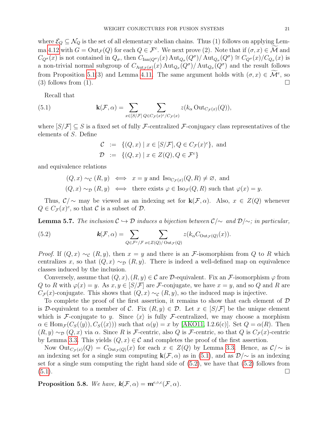where  $\mathcal{E}_Q \subseteq \mathcal{N}_Q$  is the set of all elementary abelian chains. Thus (1) follows on applying Lem-ma [4.12](#page-16-2) with  $G = \text{Out}_{\mathcal{F}}(Q)$  for each  $Q \in \mathcal{F}^c$ . We next prove (2). Note that if  $(\sigma, x) \in \mathcal{M}$  and  $C_{Q^{\sigma}}(x)$  is not contained in  $Q_{\sigma}$ , then  $C_{\text{Inn}(Q^{\sigma})}(x)$   $\text{Aut}_{Q_{\sigma}}(Q^{\sigma})/\text{Aut}_{Q_{\sigma}}(Q^{\sigma}) \cong C_{Q^{\sigma}}(x)/C_{Q_{\sigma}}(x)$  is a non-trivial normal subgroup of  $C_{\text{Aut}_{\mathcal{F}}(\sigma)}(x) \text{Aut}_{Q_{\sigma}}(Q^{\sigma})/\text{Aut}_{Q_{\sigma}}(Q^{\sigma})$  and the result follows from Proposition [5.1\(](#page-18-2)3) and Lemma [4.11.](#page-16-0) The same argument holds with  $(\sigma, x) \in \mathcal{M}^e$ , so (3) follows from (1).  $\Box$ 

Recall that

(5.1) 
$$
\mathbf{k}(\mathcal{F}, \alpha) = \sum_{x \in [S/\mathcal{F}]} \sum_{Q \in C_{\mathcal{F}}(x)^c/C_{\mathcal{F}}(x)} z(k_{\alpha} \text{Out}_{C_{\mathcal{F}}(x)}(Q)),
$$

where  $[S/\mathcal{F}] \subseteq S$  is a fixed set of fully F-centralized F-conjugacy class representatives of the elements of S. Define

<span id="page-21-0"></span>
$$
C := \{(Q, x) \mid x \in [S/\mathcal{F}], Q \in C_{\mathcal{F}}(x)^c\}, \text{ and}
$$
  

$$
D := \{(Q, x) \mid x \in Z(Q), Q \in \mathcal{F}^c\}
$$

and equivalence relations

$$
(Q, x) \sim_{\mathcal{C}} (R, y) \iff x = y
$$
 and  $\text{Iso}_{C_{\mathcal{F}}(x)}(Q, R) \neq \emptyset$ , and  
 $(Q, x) \sim_{\mathcal{D}} (R, y) \iff$  there exists  $\varphi \in \text{Iso}_{\mathcal{F}}(Q, R)$  such that  $\varphi(x) = y$ .

Thus,  $\mathcal{C}/\sim$  may be viewed as an indexing set for  $\mathbf{k}(\mathcal{F}, \alpha)$ . Also,  $x \in Z(Q)$  whenever  $Q \in C_{\mathcal{F}}(x)^c$ , so that  $\mathcal C$  is a subset of  $\mathcal D$ .

<span id="page-21-2"></span>**Lemma 5.7.** The inclusion  $\mathcal{C} \hookrightarrow \mathcal{D}$  induces a bijection between  $\mathcal{C}/\sim$  and  $\mathcal{D}/\sim$ ; in particular,

<span id="page-21-1"></span>(5.2) 
$$
\mathbf{k}(\mathcal{F}, \alpha) = \sum_{Q \in \mathcal{F}^c/\mathcal{F}} \sum_{x \in Z(Q)/\mathrm{Out}_{\mathcal{F}}(Q)} z(k_\alpha C_{\mathrm{Out}_{\mathcal{F}}(Q)}(x)).
$$

*Proof.* If  $(Q, x) \sim_{\mathcal{C}} (R, y)$ , then  $x = y$  and there is an *F*-isomorphism from Q to R which centralizes x, so that  $(Q, x) \sim_{\mathcal{D}} (R, y)$ . There is indeed a well-defined map on equivalence classes induced by the inclusion.

Conversely, assume that  $(Q, x), (R, y) \in \mathcal{C}$  are D-equivalent. Fix an F-isomorphism  $\varphi$  from Q to R with  $\varphi(x) = y$ . As  $x, y \in [S/\mathcal{F}]$  are F-conjugate, we have  $x = y$ , and so Q and R are  $C_{\mathcal{F}}(x)$ -conjugate. This shows that  $(Q, x) \sim_{\mathcal{C}} (R, y)$ , so the induced map is injective.

To complete the proof of the first assertion, it remains to show that each element of  $\mathcal D$ is D-equivalent to a member of C. Fix  $(R, y) \in \mathcal{D}$ . Let  $x \in [S/\mathcal{F}]$  be the unique element which is F-conjugate to y. Since  $\langle x \rangle$  is fully F-centralized, we may choose a morphism  $\alpha \in \text{Hom}_{\mathcal{F}}(C_S(\langle y \rangle), C_S(\langle x \rangle))$  such that  $\alpha(y) = x$  by [\[AKO11,](#page-33-0) I.2.6(c)]. Set  $Q = \alpha(R)$ . Then  $(R, y) \sim_{\mathcal{D}} (Q, x)$  via  $\alpha$ . Since R is F-centric, also Q is F-centric, so that Q is  $C_{\mathcal{F}}(x)$ -centric by Lemma [3.3.](#page-8-2) This yields  $(Q, x) \in \mathcal{C}$  and completes the proof of the first assertion.

Now  $Out_{C_{\mathcal{F}}(x)}(Q) = C_{Out_{\mathcal{F}}(Q)}(x)$  for each  $x \in Z(Q)$  by Lemma [3.3.](#page-8-2) Hence, as  $\mathcal{C}/\sim$  is an indexing set for a single sum computing  $\mathbf{k}(\mathcal{F}, \alpha)$  as in [\(5.1\)](#page-21-0), and as  $\mathcal{D}/\sim$  is an indexing set for a single sum computing the right hand side of  $(5.2)$ , we have that  $(5.2)$  follows from  $(5.1)$ .

<span id="page-21-3"></span>**Proposition 5.8.** We have,  $\mathbf{k}(\mathcal{F}, \alpha) = \mathbf{m}^{e, \circ, c}(\mathcal{F}, \alpha)$ .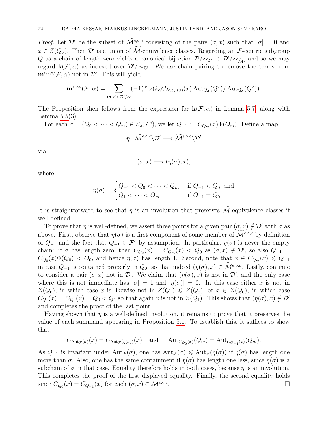*Proof.* Let  $\mathcal{D}'$  be the subset of  $\widetilde{\mathcal{M}}^{e,\circ,c}$  consisting of the pairs  $(\sigma, x)$  such that  $|\sigma| = 0$  and  $x \in Z(Q_{\sigma})$ . Then  $\mathcal{D}'$  is a union of M-equivalence classes. Regarding an F-centric subgroup Q as a chain of length zero yields a canonical bijection  $\mathcal{D}/\sim_{\mathcal{D}} \rightarrow \mathcal{D}'/\sim_{\widetilde{M}}$ , and so we may regard  $\mathbf{k}(\mathcal{F}, \alpha)$  as indexed over  $\mathcal{D}'/\sim_{\widetilde{M}}$ . We use chain pairing to remove the terms from  $\mathbf{m}^{e,\circ,c}(\mathcal{F},\alpha)$  not in  $\mathcal{D}'$ . This will yield

$$
\mathbf{m}^{e,\circ,c}(\mathcal{F},\alpha) = \sum_{(\sigma,x)\in\mathcal{D}'/\sim} (-1)^{|\sigma|} z(k_{\alpha}C_{\text{Aut}_{\mathcal{F}}(\sigma)}(x) \operatorname{Aut}_{Q_{\sigma}}(Q^{\sigma})/\operatorname{Aut}_{Q_{\sigma}}(Q^{\sigma})).
$$

The Proposition then follows from the expression for  $\mathbf{k}(\mathcal{F}, \alpha)$  in Lemma [5.7,](#page-21-2) along with Lemma [5.5\(](#page-19-1)3).

For each  $\sigma = (Q_0 < \cdots < Q_m) \in S_d(\mathcal{F}^c)$ , we let  $Q_{-1} := C_{Q_m}(x) \Phi(Q_m)$ . Define a map

$$
\eta\colon \widetilde{\mathcal{M}}^{e,\circ,c}\backslash \mathcal{D}'\longrightarrow \widetilde{\mathcal{M}}^{e,\circ,c}\backslash \mathcal{D}'
$$

via

$$
(\sigma, x) \longmapsto (\eta(\sigma), x),
$$

where

$$
\eta(\sigma) = \begin{cases} Q_{-1} < Q_0 < \dots < Q_m \quad \text{if } Q_{-1} < Q_0 \text{, and} \\ Q_1 < \dots < Q_m \quad \text{if } Q_{-1} = Q_0. \end{cases}
$$

It is straightforward to see that  $\eta$  is an involution that preserves  $\widetilde{\mathcal{M}}$ -equivalence classes if well-defined.

To prove that  $\eta$  is well-defined, we assert three points for a given pair  $(\sigma, x) \notin \mathcal{D}'$  with  $\sigma$  as above. First, observe that  $\eta(\sigma)$  is a first component of some member of  $\widetilde{\mathcal{M}}^{e,\circ,c}$  by definition of  $Q_{-1}$  and the fact that  $Q_{-1} \in \mathcal{F}^c$  by assumption. In particular,  $\eta(\sigma)$  is never the empty chain: if  $\sigma$  has length zero, then  $C_{Q_0}(x) = C_{Q_m}(x) < Q_0$  as  $(\sigma, x) \notin \mathcal{D}'$ , so also  $Q_{-1}$  $C_{Q_0}(x)\Phi(Q_0) < Q_0$ , and hence  $\eta(\sigma)$  has length 1. Second, note that  $x \in C_{Q_m}(x) \leq Q_{-1}$ in case  $Q_{-1}$  is contained properly in  $Q_0$ , so that indeed  $(\eta(\sigma), x) \in \widetilde{\mathcal{M}}^{e,\circ,c}$ . Lastly, continue to consider a pair  $(\sigma, x)$  not in  $\mathcal{D}'$ . We claim that  $(\eta(\sigma), x)$  is not in  $\mathcal{D}'$ , and the only case where this is not immediate has  $|\sigma| = 1$  and  $|\eta(\sigma)| = 0$ . In this case either x is not in  $Z(Q_0)$ , in which case x is likewise not in  $Z(Q_1) \leq Z(Q_0)$ , or  $x \in Z(Q_0)$ , in which case  $C_{Q_1}(x) = C_{Q_0}(x) = Q_0 < Q_1$  so that again x is not in  $Z(Q_1)$ . This shows that  $(\eta(\sigma), x) \notin \mathcal{D}'$ and completes the proof of the last point.

Having shown that  $\eta$  is a well-defined involution, it remains to prove that it preserves the value of each summand appearing in Proposition [5.1.](#page-18-2) To establish this, it suffices to show that

$$
C_{\mathrm{Aut}_{\mathcal{F}}(\sigma)}(x) = C_{\mathrm{Aut}_{\mathcal{F}}(\eta(\sigma))}(x) \quad \text{and} \quad \mathrm{Aut}_{C_{Q_0}(x)}(Q_m) = \mathrm{Aut}_{C_{Q_{-1}}(x)}(Q_m).
$$

As  $Q_{-1}$  is invariant under  $\text{Aut}_{\mathcal{F}}(\sigma)$ , one has  $\text{Aut}_{\mathcal{F}}(\sigma) \leq \text{Aut}_{\mathcal{F}}(\eta(\sigma))$  if  $\eta(\sigma)$  has length one more than  $\sigma$ . Also, one has the same containment if  $\eta(\sigma)$  has length one less, since  $\eta(\sigma)$  is a subchain of  $\sigma$  in that case. Equality therefore holds in both cases, because  $\eta$  is an involution. This completes the proof of the first displayed equality. Finally, the second equality holds since  $C_{Q_0}(x) = C_{Q_{-1}}(x)$  for each  $(\sigma, x) \in \mathcal{M}^{e, \circ, c}$ .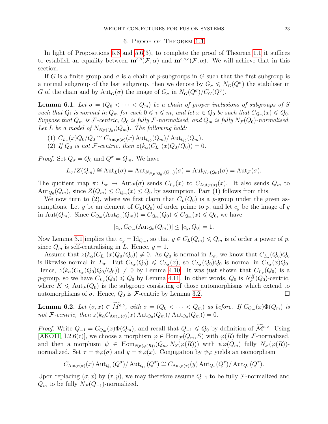#### 6. Proof of Theorem [1.1](#page-3-0)

<span id="page-23-0"></span>In light of Propositions [5.8](#page-21-3) and [5.6\(](#page-20-0)3), to complete the proof of Theorem [1.1](#page-3-0) it suffices to establish an equality between  $\mathbf{m}^{e, \circ}(\mathcal{F}, \alpha)$  and  $\mathbf{m}^{e, \circ, c}(\mathcal{F}, \alpha)$ . We will achieve that in this section.

If G is a finite group and  $\sigma$  is a chain of p-subgroups in G such that the first subgroup is a normal subgroup of the last subgroup, then we denote by  $G_{\sigma} \leqslant N_G(Q^{\sigma})$  the stabiliser in G of the chain and by  ${\rm Aut}_G(\sigma)$  the image of  $G_{\sigma}$  in  $N_G(Q^{\sigma})/C_G(Q^{\sigma})$ .

<span id="page-23-1"></span>**Lemma 6.1.** Let  $\sigma = (Q_0 < \cdots < Q_m)$  be a chain of proper inclusions of subgroups of S such that  $Q_i$  is normal in  $Q_m$  for each  $0 \leq i \leq m$ , and let  $x \in Q_0$  be such that  $C_{Q_m}(x) \leq Q_0$ . Suppose that  $Q_m$  is F-centric,  $Q_0$  is fully F-normalised, and  $Q_m$  is fully  $N_{\mathcal{F}}(Q_0)$ -normalised. Let L be a model of  $N_{N_{\mathcal{F}}(Q_0)}(Q_m)$ . The following hold:

- (1)  $C_{L_{\sigma}}(x)Q_0/Q_0 \cong C_{\text{Aut}_{\mathcal{F}}(\sigma)}(x) \operatorname{Aut}_{Q_0}(Q_m)/\operatorname{Aut}_{Q_0}(Q_m)$ .
- (2) If  $Q_0$  is not F-centric, then  $z(k_\alpha(C_{L_\sigma}(x)Q_0/Q_0)) = 0$ .

*Proof.* Set  $Q_{\sigma} = Q_0$  and  $Q^{\sigma} = Q_m$ . We have

$$
L_{\sigma}/Z(Q_m) \cong \mathrm{Aut}_{L}(\sigma) = \mathrm{Aut}_{N_{N_{\mathcal{F}}(Q_0)}(Q_m)}(\sigma) = \mathrm{Aut}_{N_{\mathcal{F}}(Q_0)}(\sigma) = \mathrm{Aut}_{\mathcal{F}}(\sigma).
$$

The quotient map  $\pi: L_{\sigma} \to \text{Aut}_{\mathcal{F}}(\sigma)$  sends  $C_{L_{\sigma}}(x)$  to  $C_{\text{Aut}_{\mathcal{F}}(\sigma)}(x)$ . It also sends  $Q_m$  to  $\text{Aut}_{Q_0}(Q_m)$ , since  $Z(Q_m) \leq C_{Q_m}(x) \leq Q_0$  by assumption. Part (1) follows from this.

We now turn to (2), where we first claim that  $C<sub>L</sub>(Q<sub>0</sub>)$  is a p-group under the given assumptions. Let y be an element of  $C<sub>L</sub>(Q<sub>0</sub>)$  of order prime to p, and let  $c<sub>y</sub>$  be the image of y in Aut $(Q_m)$ . Since  $C_{Q_m}(\text{Aut}_{Q_0}(Q_m)) = C_{Q_m}(Q_0) \leqslant C_{Q_m}(x) \leqslant Q_0$ , we have

$$
[c_y, C_{Q_m}(\text{Aut}_{Q_0}(Q_m))] \le [c_y, Q_0] = 1.
$$

Now Lemma [3.1](#page-7-1) implies that  $c_y = \text{Id}_{Q_m}$ , so that  $y \in C_L(Q_m) \leq Q_m$  is of order a power of p, since  $Q_m$  is self-centralising in L. Hence,  $y = 1$ .

Assume that  $z(k_{\alpha}(C_{L_{\sigma}}(x)Q_0/Q_0)) \neq 0$ . As  $Q_0$  is normal in  $L_{\sigma}$ , we know that  $C_{L_{\sigma}}(Q_0)Q_0$ is likewise normal in  $L_{\sigma}$ . But  $C_{L_{\sigma}}(Q_0) \leq C_{L_{\sigma}}(x)$ , so  $C_{L_{\sigma}}(Q_0)Q_0$  is normal in  $C_{L_{\sigma}}(x)Q_0$ . Hence,  $z(k_{\alpha}(C_{L_{\sigma}}(Q_0)Q_0/Q_0)) \neq 0$  by Lemma [4.10.](#page-16-1) It was just shown that  $C_{L_{\sigma}}(Q_0)$  is a p-group, so we have  $C_{L_{\sigma}}(Q_0) \leq Q_0$  by Lemma [4.11.](#page-16-0) In other words,  $Q_0$  is  $N_{\mathcal{F}}^K(Q_0)$ -centric, where  $K \leq \text{Aut}_{\mathcal{F}}(Q_0)$  is the subgroup consisting of those automorphisms which extend to automorphisms of  $\sigma$ . Hence,  $Q_0$  is  $\mathcal{F}$ -centric by Lemma [3.2.](#page-8-0)

<span id="page-23-2"></span>**Lemma 6.2.** Let  $(\sigma, x) \in M^{e, \circ}$ , with  $\sigma = (Q_0 < \cdots < Q_m)$  as before. If  $C_{Q_m}(x) \Phi(Q_m)$  is not F-centric, then  $z(k_{\alpha}C_{\text{Aut}_{\mathcal{F}}(\sigma)}(x) \text{Aut}_{Q_0}(Q_m)/\text{Aut}_{Q_0}(Q_m)) = 0.$ 

Proof. Write  $Q_{-1} = C_{Q_m}(x)\Phi(Q_m)$ , and recall that  $Q_{-1} \leq Q_0$  by definition of  $\widetilde{\mathcal{M}}^{e,\circ}$ . Using [\[AKO11,](#page-33-0) I.2.6(c)], we choose a morphism  $\varphi \in \text{Hom}_{\mathcal{F}}(Q_m, S)$  with  $\varphi(R)$  fully *F*-normalized, and then a morphism  $\psi \in \text{Hom}_{N_{\mathcal{F}}(\varphi(R))}(Q_m, N_{\mathcal{S}}(\varphi(R)))$  with  $\psi \varphi(Q_m)$  fully  $N_{\mathcal{F}}(\varphi(R))$ normalized. Set  $\tau = \psi \varphi(\sigma)$  and  $y = \psi \varphi(x)$ . Conjugation by  $\psi \varphi$  yields an isomorphism

$$
C_{\mathrm{Aut}_{\mathcal{F}}(\sigma)}(x) \, \mathrm{Aut}_{Q_{\sigma}}(Q^{\sigma})/\mathrm{Aut}_{Q_{\sigma}}(Q^{\sigma}) \cong C_{\mathrm{Aut}_{\mathcal{F}}(\tau)}(y) \, \mathrm{Aut}_{Q_{\tau}}(Q^{\tau})/\mathrm{Aut}_{Q_{\tau}}(Q^{\tau}).
$$

Upon replacing  $(\sigma, x)$  by  $(\tau, y)$ , we may therefore assume  $Q_{-1}$  to be fully F-normalized and  $Q_m$  to be fully  $N_{\mathcal{F}}(Q_{-1})$ -normalized.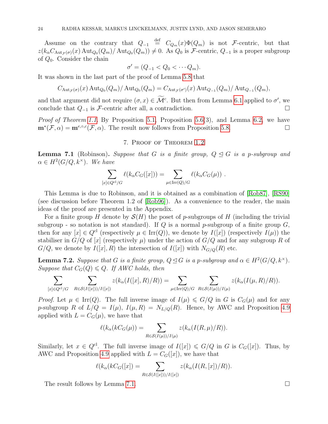Assume on the contrary that  $Q_{-1} \stackrel{\text{def}}{=} C_{Q_m}(x) \Phi(Q_m)$  is not F-centric, but that  $z(k_{\alpha}C_{\text{Aut}_{\mathcal{F}}(\sigma)}(x) \text{Aut}_{Q_0}(Q_m)) \neq 0$ . As  $Q_0$  is F-centric,  $Q_{-1}$  is a proper subgroup of  $Q_0$ . Consider the chain

$$
\sigma' = (Q_{-1} < Q_0 < \cdots Q_m).
$$

It was shown in the last part of the proof of Lemma [5.8](#page-21-3) that

$$
C_{\text{Aut}_{\mathcal{F}}(\sigma)}(x) \operatorname{Aut}_{Q_0}(Q_m) / \operatorname{Aut}_{Q_0}(Q_m) = C_{\text{Aut}_{\mathcal{F}}(\sigma')}(x) \operatorname{Aut}_{Q_{-1}}(Q_m) / \operatorname{Aut}_{Q_{-1}}(Q_m),
$$

and that argument did not require  $(\sigma, x) \in \mathcal{M}^c$ . But then from Lemma [6.1](#page-23-1) applied to  $\sigma'$ , we conclude that  $Q_{-1}$  is F-centric after all, a contradiction.  $□$ 

Proof of Theorem [1.1.](#page-3-0) By Proposition [5.1,](#page-18-2) Proposition [5.6\(](#page-20-0)3), and Lemma [6.2,](#page-23-2) we have  $\mathbf{m}^*(\mathcal{F}, \alpha) = \mathbf{m}^{e, \circ, c}(\mathcal{F}, \alpha)$ . The result now follows from Proposition [5.8.](#page-21-3)

# 7. Proof of Theorem [1.2](#page-3-1)

<span id="page-24-1"></span><span id="page-24-0"></span>**Lemma 7.1** (Robinson). Suppose that G is a finite group,  $Q \trianglelefteq G$  is a p-subgroup and  $\alpha \in H^2(G/Q, k^{\times})$ . We have

$$
\sum_{[x]\in Q^{cl}/G} \ell(k_{\alpha}C_G([x])) = \sum_{\mu\in \text{Irr}(Q)/G} \ell(k_{\alpha}C_G(\mu)).
$$

This Lemma is due to Robinson, and it is obtained as a combination of [\[Rob87\]](#page-34-7), [\[RS90\]](#page-34-8) (see discussion before Theorem 1.2 of [\[Rob96\]](#page-34-0)). As a convenience to the reader, the main ideas of the proof are presented in the Appendix.

For a finite group H denote by  $\mathcal{S}(H)$  the poset of p-subgroups of H (including the trivial subgroup - so notation is not standard). If Q is a normal p-subgroup of a finite group  $G$ , then for any  $[x] \in Q^{cl}$  (respectively  $\mu \in \text{Irr}(Q)$ ), we denote by  $I([x])$  (respectively  $I(\mu)$ ) the stabiliser in  $G/Q$  of  $[x]$  (respectively  $\mu$ ) under the action of  $G/Q$  and for any subgroup R of  $G/Q$ , we denote by  $I([x], R)$  the intersection of  $I([x])$  with  $N_{G/Q}(R)$  etc.

<span id="page-24-2"></span>**Lemma 7.2.** Suppose that G is a finite group,  $Q \trianglelefteq G$  is a p-subgroup and  $\alpha \in H^2(G/Q, k^\times)$ . Suppose that  $C_G(Q) \leq Q$ . If AWC holds, then

$$
\sum_{[x]\in Q^{cl}/G} \quad \sum_{R\in \mathcal{S}(I([x]))/I([x])} z(k_\alpha(I([x],R)/R)) = \sum_{\mu\in \text{Irr}(Q)/G} \quad \sum_{R\in \mathcal{S}(I(\mu))/I(\mu)} z(k_\alpha(I(\mu,R)/R)).
$$

*Proof.* Let  $\mu \in \text{Irr}(Q)$ . The full inverse image of  $I(\mu) \leq G/Q$  in G is  $C_G(\mu)$  and for any p-subgroup R of  $L/Q = I(\mu)$ ,  $I(\mu, R) = N_{L/Q}(R)$ . Hence, by AWC and Proposition [4.9](#page-14-2) applied with  $L = C_G(\mu)$ , we have that

$$
\ell(k_{\alpha}(kC_G(\mu))) = \sum_{R \in \mathcal{S}(I(\mu))/I(\mu)} z(k_{\alpha}(I(R,\mu)/R)).
$$

Similarly, let  $x \in Q^{cl}$ . The full inverse image of  $I([x]) \leq G/Q$  in G is  $C_G([x])$ . Thus, by AWC and Proposition [4.9](#page-14-2) applied with  $L = C_G([x])$ , we have that

$$
\ell(k_{\alpha}(kC_G([x])) = \sum_{R \in \mathcal{S}(I([x]))/I([x])} z(k_{\alpha}(I(R,[x])/R)).
$$

The result follows by Lemma [7.1.](#page-24-1)

$$
\qquad \qquad \Box
$$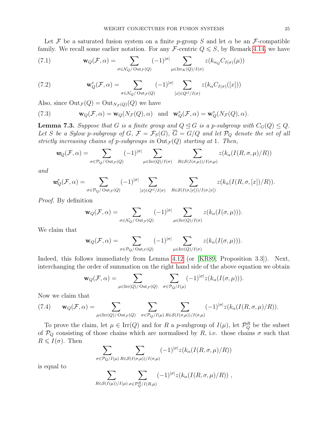Let F be a saturated fusion system on a finite p-group S and let  $\alpha$  be an F-compatible family. We recall some earlier notation. For any F-centric  $Q \leq S$ , by Remark [4.14,](#page-17-0) we have

(7.1) 
$$
\mathbf{w}_Q(\mathcal{F}, \alpha) = \sum_{\sigma \in \mathcal{N}_Q/\text{Out}_{\mathcal{F}}(Q)} (-1)^{|\sigma|} \sum_{\mu \in \text{Irr}_K(Q)/I(\sigma)} z(k_{\alpha_Q} C_{I(\sigma)}(\mu))
$$

(7.2) 
$$
\mathbf{w}_Q^*(\mathcal{F}, \alpha) = \sum_{\sigma \in \mathcal{N}_Q/\text{Out}_{\mathcal{F}}(Q)} (-1)^{|\sigma|} \sum_{[x] \in Q^{\text{cl}}/I(\sigma)} z(k_\alpha C_{I(\sigma)}([x]))
$$

Also, since  $\mathrm{Out}_{\mathcal{F}}(Q) = \mathrm{Out}_{N_{\mathcal{F}}(Q)}(Q)$  we have

<span id="page-25-1"></span>(7.3) 
$$
\mathbf{w}_Q(\mathcal{F}, \alpha) = \mathbf{w}_Q(N_{\mathcal{F}}(Q), \alpha) \text{ and } \mathbf{w}_Q^*(\mathcal{F}, \alpha) = \mathbf{w}_Q^*(N_{\mathcal{F}}(Q), \alpha).
$$

<span id="page-25-2"></span>**Lemma 7.3.** Suppose that G is a finite group and  $Q \leq G$  is a p-subgroup with  $C_G(Q) \leq Q$ . Let S be a Sylow p-subgroup of G,  $\mathcal{F} = \mathcal{F}_S(G)$ ,  $\overline{G} = G/Q$  and let  $\mathcal{P}_Q$  denote the set of all strictly increasing chains of p-subgroups in  $Out_{\mathcal{F}}(Q)$  starting at 1. Then,

$$
\mathbf{w}_Q(\mathcal{F}, \alpha) = \sum_{\sigma \in \mathcal{P}_Q/\text{Out}_{\mathcal{F}}(Q)} (-1)^{|\sigma|} \sum_{\mu \in \text{Irr}(Q)/I(\sigma)} \sum_{R \in \mathcal{S}(I(\sigma,\mu))/I(\sigma,\mu)} z(k_\alpha(I(R,\sigma,\mu)/R))
$$

and

$$
\mathbf{w}_Q^*(\mathcal{F}, \alpha) = \sum_{\sigma \in \mathcal{P}_Q/\mathrm{Out}_{\mathcal{F}}(Q)} (-1)^{|\sigma|} \sum_{[x] \in Q^{\mathrm{cl}}/I(\sigma)} \sum_{R \in \mathcal{S}(I(\sigma, [x]))/I(\sigma, [x])} z(k_\alpha(I(R, \sigma, [x])/R)).
$$

Proof. By definition

$$
\mathbf{w}_Q(\mathcal{F}, \alpha) = \sum_{\sigma \in \mathcal{N}_Q/\text{Out}_{\mathcal{F}}(Q)} (-1)^{|\sigma|} \sum_{\mu \in \text{Irr}(Q)/I(\sigma)} z(k_\alpha(I(\sigma, \mu))).
$$

We claim that

$$
\mathbf{w}_Q(\mathcal{F}, \alpha) = \sum_{\sigma \in \mathcal{P}_Q/\text{Out}_{\mathcal{F}}(Q)} (-1)^{|\sigma|} \sum_{\mu \in \text{Irr}(Q)/I(\sigma)} z(k_\alpha(I(\sigma, \mu))).
$$

Indeed, this follows immediately from Lemma [4.12](#page-16-2) (or [\[KR89,](#page-33-9) Proposition 3.3]). Next, interchanging the order of summation on the right hand side of the above equation we obtain

$$
\mathbf{w}_Q(\mathcal{F}, \alpha) = \sum_{\mu \in \text{Irr}(Q)/\text{Out}_{\mathcal{F}}(Q)} \sum_{\sigma \in \mathcal{P}_Q/I(\mu)} (-1)^{|\sigma|} z(k_\alpha(I(\sigma, \mu))).
$$

Now we claim that

<span id="page-25-0"></span>(7.4) 
$$
\mathbf{w}_Q(\mathcal{F}, \alpha) = \sum_{\mu \in \text{Irr}(Q)/\text{Out}_{\mathcal{F}}(Q)} \sum_{\sigma \in \mathcal{P}_Q/I(\mu)} \sum_{R \in \mathcal{S}(I(\sigma,\mu))/I(\sigma,\mu)} (-1)^{|\sigma|} z(k_\alpha(I(R,\sigma,\mu)/R)).
$$

To prove the claim, let  $\mu \in \text{Irr}(Q)$  and for R a p-subgroup of  $I(\mu)$ , let  $\mathcal{P}_Q^R$  be the subset of  $P_Q$  consisting of those chains which are normalised by R, i.e. those chains  $\sigma$  such that  $R \leqslant I(\sigma)$ . Then

$$
\sum_{\sigma \in \mathcal{P}_Q/I(\mu)} \sum_{R \in \mathcal{S}(I(\sigma,\mu))/I(\sigma,\mu)} (-1)^{|\sigma|} z(k_\alpha(I(R,\sigma,\mu)/R))
$$

is equal to

$$
\sum_{R\in\mathcal{S}(I(\mu))/I(\mu)}\sum_{\sigma\in\mathcal{P}_Q^R/I(R,\mu)}(-1)^{|\sigma|}z(k_\alpha(I(R,\sigma,\mu)/R))\;,
$$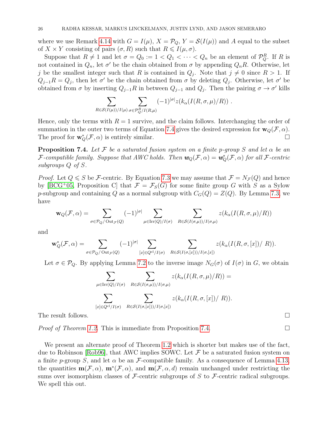where we use Remark [4.14](#page-17-0) with  $G = I(\mu)$ ,  $X = \mathcal{P}_Q$ ,  $Y = \mathcal{S}(I(\mu))$  and A equal to the subset of  $X \times Y$  consisting of pairs  $(\sigma, R)$  such that  $R \leq I(\mu, \sigma)$ .

Suppose that  $R \neq 1$  and let  $\sigma = Q_0 := 1 < Q_1 < \cdots < Q_n$  be an element of  $\mathcal{P}_Q^R$ . If R is not contained in  $Q_n$ , let  $\sigma'$  be the chain obtained from  $\sigma$  by appending  $Q_nR$ . Otherwise, let j be the smallest integer such that R is contained in  $Q_j$ . Note that  $j \neq 0$  since  $R > 1$ . If  $Q_{j-1}R = Q_j$ , then let  $\sigma'$  be the chain obtained from  $\sigma$  by deleting  $Q_j$ . Otherwise, let  $\sigma'$  be obtained from  $\sigma$  by inserting  $Q_{j-1}R$  in between  $Q_{j-1}$  and  $Q_j$ . Then the pairing  $\sigma \to \sigma'$  kills

$$
\sum_{R\in\mathcal{S}(I(\mu))/I(\mu)}\sum_{\sigma\in\mathcal{P}_{Q}^R/I(R,\mu)}(-1)^{|\sigma|}z(k_{\alpha}(I(R,\sigma,\mu)/R))\ .
$$

Hence, only the terms with  $R = 1$  survive, and the claim follows. Interchanging the order of summation in the outer two terms of Equation [7.4](#page-25-0) gives the desired expression for  $\mathbf{w}_Q(\mathcal{F}, \alpha)$ . The proof for  $\mathbf{w}_Q^*(\mathcal{F}, \alpha)$  is entirely similar.

<span id="page-26-0"></span>**Proposition 7.4.** Let F be a saturated fusion system on a finite p-group S and let  $\alpha$  be an F-compatible family. Suppose that AWC holds. Then  $w_Q(\mathcal{F}, \alpha) = w_Q^*(\mathcal{F}, \alpha)$  for all F-centric subgroups Q of S.

*Proof.* Let  $Q \leq S$  be F-centric. By Equation [7.3](#page-25-1) we may assume that  $\mathcal{F} = N_{\mathcal{F}}(Q)$  and hence by [\[BCG](#page-33-18)<sup>+</sup>05, Proposition C] that  $\mathcal{F} = \mathcal{F}_S(G)$  for some finite group G with S as a Sylow p-subgroup and containing Q as a normal subgroup with  $C_G(Q) = Z(Q)$ . By Lemma [7.3,](#page-25-2) we have

$$
\mathbf{w}_Q(\mathcal{F}, \alpha) = \sum_{\sigma \in \mathcal{P}_Q/\text{Out}_{\mathcal{F}}(Q)} (-1)^{|\sigma|} \sum_{\mu \in \text{Irr}(Q)/I(\sigma)} \sum_{R \in \mathcal{S}(I(\sigma, \mu))/I(\sigma, \mu)} z(k_\alpha(I(R, \sigma, \mu)/R))
$$

and

$$
\mathbf{w}_Q^*(\mathcal{F}, \alpha) = \sum_{\sigma \in \mathcal{P}_Q/\mathrm{Out}_{\mathcal{F}}(Q)} (-1)^{|\sigma|} \sum_{[x] \in Q^{\mathrm{cl}}/I(\sigma)} \sum_{R \in \mathcal{S}(I(\sigma, [x]))/I(\sigma, [x])} z(k_\alpha(I(R, \sigma, [x])/R)).
$$

Let  $\sigma \in \mathcal{P}_Q$ . By applying Lemma [7.2](#page-24-2) to the inverse image  $N_G(\sigma)$  of  $I(\sigma)$  in G, we obtain

$$
\sum_{\mu \in \text{Irr}(Q)/I(\sigma)} \sum_{R \in \mathcal{S}(I(\sigma,\mu))/I(\sigma,\mu)} z(k_{\alpha}(I(R,\sigma,\mu)/R)) =
$$
  

$$
\sum_{[x] \in Q^{\text{cl}}/I(\sigma)} \sum_{R \in \mathcal{S}(I(\sigma,[x]))/I(\sigma,[x])} z(k_{\alpha}(I(R,\sigma,[x])/R)).
$$

The result follows.

*Proof of Theorem [1.2.](#page-3-1)* This is immediate from Proposition [7.4.](#page-26-0)  $\Box$ 

We present an alternate proof of Theorem [1.2](#page-3-1) which is shorter but makes use of the fact, due to Robinson [\[Rob96\]](#page-34-0), that AWC implies SOWC. Let  $\mathcal F$  be a saturated fusion system on a finite p-group S, and let  $\alpha$  be an F-compatible family. As a consequence of Lemma [4.13,](#page-17-1) the quantities  $\mathbf{m}(\mathcal{F}, \alpha)$ ,  $\mathbf{m}^*(\mathcal{F}, \alpha)$ , and  $\mathbf{m}(\mathcal{F}, \alpha, d)$  remain unchanged under restricting the sums over isomorphism classes of  $\mathcal F$ -centric subgroups of S to  $\mathcal F$ -centric radical subgroups. We spell this out.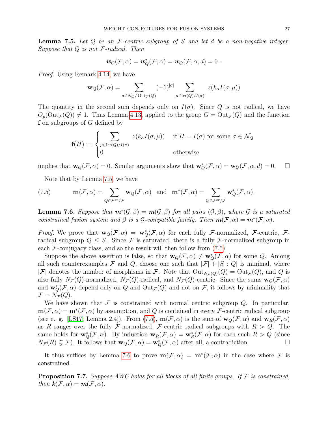<span id="page-27-0"></span>**Lemma 7.5.** Let  $Q$  be an  $\mathcal{F}\text{-centric subgroup of } S$  and let  $d$  be a non-negative integer. Suppose that  $Q$  is not  $F$ -radical. Then

$$
\mathbf{w}_Q(\mathcal{F}, \alpha) = \mathbf{w}_Q^*(\mathcal{F}, \alpha) = \mathbf{w}_Q(\mathcal{F}, \alpha, d) = 0.
$$

Proof. Using Remark [4.14,](#page-17-0) we have

$$
\mathbf{w}_Q(\mathcal{F}, \alpha) = \sum_{\sigma \in \mathcal{N}_Q/\text{Out}_{\mathcal{F}}(Q)} (-1)^{|\sigma|} \sum_{\mu \in \text{Irr}(Q)/I(\sigma)} z(k_\alpha I(\sigma, \mu))
$$

The quantity in the second sum depends only on  $I(\sigma)$ . Since Q is not radical, we have  $O_p(\text{Out}_{\mathcal{F}}(Q)) \neq 1$ . Thus Lemma [4.13,](#page-17-1) applied to the group  $G = \text{Out}_{\mathcal{F}}(Q)$  and the function f on subgroups of  $G$  defined by

$$
\mathbf{f}(H) := \begin{cases} \sum_{\mu \in \text{Irr}(Q)/I(\sigma)} z(k_{\alpha}I(\sigma,\mu)) & \text{if } H = I(\sigma) \text{ for some } \sigma \in \mathcal{N}_Q \\ 0 & \text{otherwise} \end{cases}
$$

implies that  $\mathbf{w}_Q(\mathcal{F}, \alpha) = 0$ . Similar arguments show that  $\mathbf{w}_Q^*(\mathcal{F}, \alpha) = \mathbf{w}_Q(\mathcal{F}, \alpha, d) = 0$ .  $\Box$ 

<span id="page-27-1"></span>Note that by Lemma [7.5,](#page-27-0) we have

(7.5) 
$$
\mathbf{m}(\mathcal{F}, \alpha) = \sum_{Q \in \mathcal{F}^{cr}/\mathcal{F}} \mathbf{w}_Q(\mathcal{F}, \alpha) \text{ and } \mathbf{m}^*(\mathcal{F}, \alpha) = \sum_{Q \in \mathcal{F}^{cr}/\mathcal{F}} \mathbf{w}_Q^*(\mathcal{F}, \alpha).
$$

<span id="page-27-2"></span>**Lemma 7.6.** Suppose that  $m^*(\mathcal{G}, \beta) = m(\mathcal{G}, \beta)$  for all pairs  $(\mathcal{G}, \beta)$ , where  $\mathcal{G}$  is a saturated constrained fusion system and  $\beta$  is a G-compatible family. Then  $m(\mathcal{F}, \alpha) = m^*(\mathcal{F}, \alpha)$ .

*Proof.* We prove that  $w_Q(\mathcal{F}, \alpha) = w_Q^*(\mathcal{F}, \alpha)$  for each fully *F*-normalized, *F*-centric, *F*radical subgroup  $Q \leq S$ . Since F is saturated, there is a fully F-normalized subgroup in each  $\mathcal F$ -conjugacy class, and so the result will then follow from  $(7.5)$ .

Suppose the above assertion is false, so that  $w_Q(\mathcal{F}, \alpha) \neq w_Q^*(\mathcal{F}, \alpha)$  for some Q. Among all such counterexamples F and Q, choose one such that  $|\mathcal{F}| + |S:Q|$  is minimal, where |F| denotes the number of morphisms in F. Note that  $Out_{N_{\mathcal{F}}(Q)}(Q) = Out_{\mathcal{F}}(Q)$ , and Q is also fully  $N_{\mathcal{F}}(Q)$ -normalized,  $N_{\mathcal{F}}(Q)$ -radical, and  $N_{\mathcal{F}}(Q)$ -centric. Since the sums  $\mathbf{w}_Q(\mathcal{F}, \alpha)$ and  $\mathbf{w}_Q^*(\mathcal{F}, \alpha)$  depend only on Q and  $\text{Out}_{\mathcal{F}}(Q)$  and not on  $\mathcal{F}$ , it follows by minimality that  $\mathcal{F}=N_{\mathcal{F}}(Q).$ 

We have shown that  $\mathcal F$  is constrained with normal centric subgroup  $Q$ . In particular,  $m(\mathcal{F}, \alpha) = m^*(\mathcal{F}, \alpha)$  by assumption, and Q is contained in every F-centric radical subgroup (see e. g. [\[LS17,](#page-33-2) Lemma 2.4]). From [\(7.5\)](#page-27-1),  $m(\mathcal{F}, \alpha)$  is the sum of  $w_{\mathcal{Q}}(\mathcal{F}, \alpha)$  and  $w_{\mathcal{R}}(\mathcal{F}, \alpha)$ as R ranges over the fully F-normalized, F-centric radical subgroups with  $R > Q$ . The same holds for  $\mathbf{w}_Q^*(\mathcal{F}, \alpha)$ . By induction  $\mathbf{w}_R(\mathcal{F}, \alpha) = \mathbf{w}_R^*(\mathcal{F}, \alpha)$  for each such  $R > Q$  (since  $N_{\mathcal{F}}(R) \subsetneq \mathcal{F}$ ). It follows that  $\mathbf{w}_Q(\mathcal{F}, \alpha) = \mathbf{w}_Q^*(\mathcal{F}, \alpha)$  after all, a contradiction.

It thus suffices by Lemma [7.6](#page-27-2) to prove  $m(\mathcal{F}, \alpha) = m^*(\mathcal{F}, \alpha)$  in the case where  $\mathcal F$  is constrained.

<span id="page-27-3"></span>**Proposition 7.7.** Suppose AWC holds for all blocks of all finite groups. If  $\mathcal F$  is constrained, then  $\mathbf{k}(\mathcal{F}, \alpha) = \mathbf{m}(\mathcal{F}, \alpha)$ .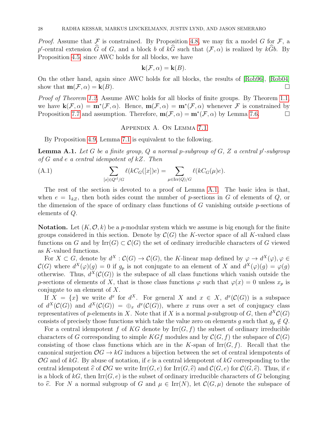*Proof.* Assume that  $\mathcal F$  is constrained. By Proposition [4.8,](#page-14-0) we may fix a model G for  $\mathcal F$ , a p'-central extension  $\tilde{G}$  of  $G$ , and a block b of  $k\tilde{G}$  such that  $(\mathcal{F}, \alpha)$  is realized by  $k\tilde{G}b$ . By Proposition [4.5,](#page-12-0) since AWC holds for all blocks, we have

$$
\mathbf{k}(\mathcal{F}, \alpha) = \mathbf{k}(B).
$$

On the other hand, again since AWC holds for all blocks, the results of [\[Rob96\]](#page-34-0), [\[Rob04\]](#page-34-2) show that  $m(\mathcal{F}, \alpha) = k(B)$ .

*Proof of Theorem [1.2.](#page-3-1)* Assume AWC holds for all blocks of finite groups. By Theorem [1.1,](#page-3-0) we have  $\mathbf{k}(\mathcal{F}, \alpha) = \mathbf{m}^*(\mathcal{F}, \alpha)$ . Hence,  $\mathbf{m}(\mathcal{F}, \alpha) = \mathbf{m}^*(\mathcal{F}, \alpha)$  whenever  $\mathcal{F}$  is constrained by Proposition [7.7](#page-27-3) and assumption. Therefore,  $\mathbf{m}(\mathcal{F}, \alpha) = \mathbf{m}^*(\mathcal{F}, \alpha)$  by Lemma [7.6.](#page-27-2)

#### Appendix A. On Lemma [7.1](#page-24-1)

By Proposition [4.9,](#page-14-2) Lemma [7.1](#page-24-1) is equivalent to the following.

<span id="page-28-0"></span>**Lemma A.1.** Let G be a finite group, Q a normal p-subgroup of  $G$ , Z a central p'-subgroup of G and e a central idempotent of kZ. Then

(A.1) 
$$
\sum_{[x]\in Q^{cl}/G} \ell(kC_G([x])e) = \sum_{\mu\in \text{Irr}(Q)/G} \ell(kC_G(\mu)e).
$$

The rest of the section is devoted to a proof of Lemma [A.1.](#page-28-0) The basic idea is that, when  $e = 1_{kZ}$ , then both sides count the number of p-sections in G of elements of Q, or the dimension of the space of ordinary class functions of  $G$  vanishing outside  $p$ -sections of elements of Q.

**Notation.** Let  $(K, \mathcal{O}, k)$  be a p-modular system which we assume is big enough for the finite groups considered in this section. Denote by  $\mathcal{C}(G)$  the K-vector space of all K-valued class functions on G and by  $\text{Irr}(G) \subset \mathcal{C}(G)$  the set of ordinary irreducible characters of G viewed as K-valued functions.

For  $X \subset G$ , denote by  $d^X : \mathcal{C}(G) \to \mathcal{C}(G)$ , the K-linear map defined by  $\varphi \to d^X(\varphi), \varphi \in$  $\mathcal{C}(G)$  where  $d^X(\varphi)(g) = 0$  if  $g_p$  is not conjugate to an element of X and  $d^X(\varphi)(g) = \varphi(g)$ otherwise. Thus,  $d^X(\mathcal{C}(G))$  is the subspace of all class functions which vanish outside the p-sections of elements of X, that is those class functions  $\varphi$  such that  $\varphi(x) = 0$  unless  $x_p$  is conjugate to an element of X.

If  $X = \{x\}$  we write  $d^x$  for  $d^X$ . For general X and  $x \in X$ ,  $d^x(\mathcal{C}(G))$  is a subspace of  $d^X(\mathcal{C}(G))$  and  $d^X(\mathcal{C}(G)) = \bigoplus_x d^x(\mathcal{C}(G))$ , where x runs over a set of conjugacy class representatives of p-elements in X. Note that if X is a normal p-subgroup of G, then  $d^X \mathcal{C}(G)$ consists of precisely those functions which take the value zero on elements q such that  $q_p \notin Q$ .

For a central idempotent f of KG denote by  $\mathrm{Irr}(G, f)$  the subset of ordinary irreducible characters of G corresponding to simple  $KGf$  modules and by  $\mathcal{C}(G, f)$  the subspace of  $\mathcal{C}(G)$ consisting of those class functions which are in the K-span of  $\text{Irr}(G, f)$ . Recall that the canonical surjection  $\mathcal{O}G \to kG$  induces a bijection between the set of central idempotents of  $\mathcal{O}G$  and of kG. By abuse of notation, if e is a central idempotent of kG corresponding to the central idempotent  $\hat{e}$  of OG we write  $\text{Irr}(G, e)$  for  $\text{Irr}(G, \hat{e})$  and  $\mathcal{C}(G, e)$  for  $\mathcal{C}(G, \hat{e})$ . Thus, if e is a block of  $kG$ , then  $\text{Irr}(G, e)$  is the subset of ordinary irreducible characters of G belonging to  $\hat{e}$ . For N a normal subgroup of G and  $\mu \in \text{Irr}(N)$ , let  $\mathcal{C}(G, \mu)$  denote the subspace of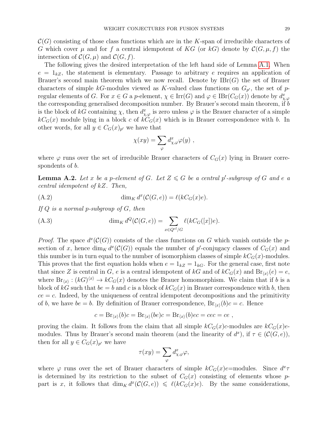$\mathcal{C}(G)$  consisting of those class functions which are in the K-span of irreducible characters of G which cover  $\mu$  and for f a central idempotent of KG (or kG) denote by  $\mathcal{C}(G, \mu, f)$  the intersection of  $\mathcal{C}(G,\mu)$  and  $\mathcal{C}(G,f)$ .

The following gives the desired interpretation of the left hand side of Lemma [A.1.](#page-28-0) When  $e = 1_{kZ}$ , the statement is elementary. Passage to arbitrary e requires an application of Brauer's second main theorem which we now recall. Denote by  $IBr(G)$  the set of Brauer characters of simple kG-modules viewed as K-valued class functions on  $G_{p'}$ , the set of pregular elements of G. For  $x \in G$  a p-element,  $\chi \in \text{Irr}(G)$  and  $\varphi \in \text{IBr}(C_G(x))$  denote by  $d_{\chi,\varphi}^x$ the corresponding generalised decomposition number. By Brauer's second main theorem, if b is the block of kG containing  $\chi$ , then  $d_{\chi,\varphi}^x$  is zero unless  $\varphi$  is the Brauer character of a simple  $kC<sub>G</sub>(x)$  module lying in a block c of  $kC<sub>G</sub>(x)$  which is in Brauer correspondence with b. In other words, for all  $y \in C_G(x)_{p'}$  we have that

$$
\chi(xy) = \sum_{\varphi} d^x_{\chi,\varphi} \varphi(y) ,
$$

where  $\varphi$  runs over the set of irreducible Brauer characters of  $C_G(x)$  lying in Brauer correspondents of b.

<span id="page-29-0"></span>**Lemma A.2.** Let x be a p-element of G. Let  $Z \le G$  be a central p'-subgroup of G and e a central idempotent of kZ. Then,

$$
(A.2) \qquad \dim_K d^x(\mathcal{C}(G,e)) = \ell(kC_G(x)e).
$$

If  $Q$  is a normal p-subgroup of  $G$ , then

(A.3) 
$$
\dim_K d^Q(\mathcal{C}(G,e)) = \sum_{x \in Q^{cl}/G} \ell(kC_G([x])e).
$$

*Proof.* The space  $d^x(\mathcal{C}(G))$  consists of the class functions on G which vanish outside the psection of x, hence  $\dim_K d^x(\mathcal{C}(G))$  equals the number of p'-conjugacy classes of  $C_G(x)$  and this number is in turn equal to the number of isomorphism classes of simple  $kC<sub>G</sub>(x)$ -modules. This proves that the first equation holds when  $e = 1_{kZ} = 1_{kG}$ . For the general case, first note that since Z is central in G, e is a central idempotent of kG and of  $kC_G(x)$  and  $Br_{\langle x \rangle}(e) = e$ , where  $Br_{\langle x \rangle}: (k) \rightarrow kC_G(x)$  denotes the Brauer homomorphism. We claim that if b is a block of kG such that  $be = b$  and c is a block of  $kC<sub>G</sub>(x)$  in Brauer correspondence with b, then  $ce = c$ . Indeed, by the uniqueness of central idempotent decompositions and the primitivity of b, we have  $be = b$ . By definition of Brauer correspondence,  $Br_{\langle x \rangle}(b)c = c$ . Hence

$$
c = Br_{\langle x \rangle}(b)c = Br_{\langle x \rangle}(be)c = Br_{\langle x \rangle}(b)ec = cec = ce,
$$

proving the claim. It follows from the claim that all simple  $kC_G(x)c$ -modules are  $kC_G(x)e$ modules. Thus by Brauer's second main theorem (and the linearity of  $d^x$ ), if  $\tau \in (\mathcal{C}(G, e))$ , then for all  $y \in C_G(x)_{p'}$  we have

$$
\tau(xy) = \sum_{\varphi} d^x_{\chi,\varphi} \varphi,
$$

where  $\varphi$  runs over the set of Brauer characters of simple  $kC_G(x)e$ =modules. Since  $d^x\tau$ is determined by its restriction to the subset of  $C_G(x)$  consisting of elements whose ppart is x, it follows that  $\dim_K d^x(\mathcal{C}(G,e)) \leq \ell(kC_G(x)e)$ . By the same considerations,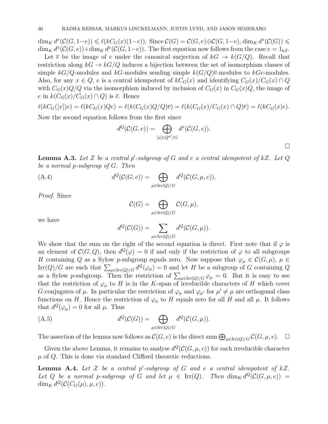$\dim_K d^x(\mathcal{C}(G, 1-e)) \leq \ell(kC_G(x)(1-e))$ . Since  $\mathcal{C}(G) = \mathcal{C}(G, e) \oplus \mathcal{C}(G, 1-e)$ ,  $\dim_K d^x(\mathcal{C}(G)) \leq$  $\dim_K d^x(\mathcal{C}(G,e))+\dim_K d^x(\mathcal{C}(G, 1-e)).$  The first equation now follows from the case  $e=1_{kZ}$ .

Let  $\overline{e}$  be the image of e under the canonical surjection of  $kG \to k(G/Q)$ . Recall that restriction along  $kG \to kG/Q$  induces a bijection between the set of isomorphism classes of simple kG/Q-modules and kG-modules sending simple  $k(G/Q)$  $\bar{e}$ -modules to kGe-modules. Also, for any  $x \in Q$ , e is a central idempotent of  $kC_G(x)$  and identifying  $C_G(x)/C_G(x) \cap Q$ with  $C_G(x)Q/Q$  via the isomorphism induced by inclusion of  $C_G(x)$  in  $C_G(x)Q$ , the image of e in  $k(C_G(x)/C_G(x) \cap Q)$  is  $\overline{e}$ . Hence

 $\ell(kC_G([x])e) = \ell(kC_G(x)Qe) = \ell(k(C_G(x)Q/Q)\overline{e}) = \ell(k(C_G(x)/C_G(x) \cap Q)\overline{e}) = \ell(kC_G(x)e).$ 

Now the second equation follows from the first since

$$
d^Q(\mathcal{C}(G,e)) = \bigoplus_{[x]\in Q^{cl}/G} d^x(\mathcal{C}(G,e)).
$$

<span id="page-30-0"></span>**Lemma A.3.** Let Z be a central p'-subgroup of G and e a central idempotent of kZ. Let  $Q$ be a normal p-subgroup of G. Then

(A.4) 
$$
d^{Q}(\mathcal{C}(G,e)) = \bigoplus_{\mu \in \text{Irr}(Q)/G} d^{Q}(\mathcal{C}(G,\mu,e)).
$$

Proof. Since

$$
\mathcal{C}(G) = \bigoplus_{\mu \in \text{Irr}(Q)/G} \mathcal{C}(G, \mu),
$$

we have

$$
d^{Q}(\mathcal{C}(G)) = \sum_{\mu \in \text{Irr}(Q)/G} d^{Q}(\mathcal{C}(G,\mu)).
$$

We show that the sum on the right of the second equation is direct. First note that if  $\varphi$  is an element of  $\mathcal{C}(G,Q)$ , then  $d^{\mathcal{Q}}(\varphi) = 0$  if and only if the restriction of  $\varphi$  to all subgroups H containing Q as a Sylow p-subgroup equals zero. Now suppose that  $\varphi_{\mu} \in \mathcal{C}(G, \mu)$ ,  $\mu \in$ Irr(Q)/G are such that  $\sum_{\mu \in \text{Irr}(Q)/G} d^Q(\varphi_\mu) = 0$  and let H be a subgroup of G containing Q as a Sylow p-subgroup. Then the restriction of  $\sum_{\mu \in \text{Irr}(Q)/G} \varphi_{\mu} = 0$ . But it is easy to see that the restriction of  $\varphi_{\mu}$  to H is in the K-span of irreducible characters of H which cover G-conjugates of  $\mu$ . In particular the restriction of  $\varphi_{\mu}$  and  $\varphi_{\mu'}$  for  $\mu' \neq \mu$  are orthogonal class functions on H. Hence the restriction of  $\varphi_{\mu}$  to H equals zero for all H and all  $\mu$ . It follows that  $d^Q(\varphi_\mu) = 0$  for all  $\mu$ . Thus

(A.5) 
$$
d^{Q}(\mathcal{C}(G)) = \bigoplus_{\mu \in \text{Irr}(Q)/G} d^{Q}(\mathcal{C}(G,\mu)).
$$

The assertion of the lemma now follows as  $\mathcal{C}(G,e)$  is the direct sum  $\bigoplus_{\mu\in\text{Irr}(Q)/G} \mathcal{C}(G,\mu,e)$ .  $\Box$ 

Given the above Lemma, it remains to analyse  $d^Q(C(G, \mu, e))$  for each irreducible character  $\mu$  of  $Q$ . This is done via standard Clifford theoretic reductions.

<span id="page-30-1"></span>**Lemma A.4.** Let Z be a central  $p'$ -subgroup of G and e a central idempotent of  $kZ$ . Let Q be a normal p-subgroup of G and let  $\mu \in \text{Irr}(Q)$ . Then  $\dim_K d^Q(\mathcal{C}(G,\mu,e)) =$  $\dim_K d^Q(C(C_G(\mu), \mu, e)).$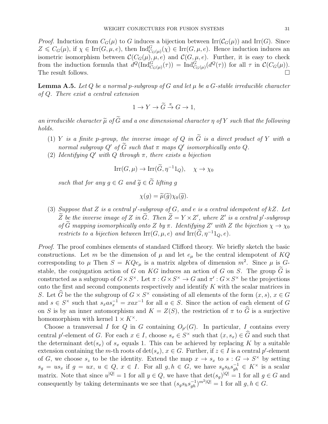*Proof.* Induction from  $C_G(\mu)$  to G induces a bijection between  $\text{Irr}(\mathcal{C}_G(\mu))$  and  $\text{Irr}(G)$ . Since  $Z \leqslant C_G(\mu)$ , if  $\chi \in \text{Irr}(G, \mu, e)$ , then  $\text{Ind}_{C_G(\mu)}^G(\chi) \in \text{Irr}(G, \mu, e)$ . Hence induction induces an isometric isomorphism between  $\mathcal{C}(C_G(\mu), \mu, e)$  and  $\mathcal{C}(G, \mu, e)$ . Further, it is easy to check from the induction formula that  $d^Q(\text{Ind}_{C_G(\mu)}^G(\tau)) = \text{Ind}_{C_G(\mu)}^G(d^Q(\tau))$  for all  $\tau$  in  $\mathcal{C}(C_G(\mu))$ . The result follows.

<span id="page-31-0"></span>**Lemma A.5.** Let Q be a normal p-subgroup of G and let  $\mu$  be a G-stable irreducible character of Q. There exist a central extension

$$
1 \to Y \to \widetilde{G} \stackrel{\pi}{\to} G \to 1,
$$

an irreducible character  $\widetilde{\mu}$  of  $\widetilde{G}$  and a one dimensional character  $\eta$  of Y such that the following holds.

- (1) Y is a finite p-group, the inverse image of Q in  $\tilde{G}$  is a direct product of Y with a normal subgroup  $Q'$  of  $\tilde{G}$  such that  $\pi$  maps  $Q'$  isomorphically onto  $Q$ .
- (2) Identifying  $Q'$  with  $Q$  through  $\pi$ , there exists a bijection

$$
Irr(G,\mu) \to Irr(\widetilde{G},\eta^{-1}1_Q), \quad \chi \to \chi_0
$$

such that for any  $q \in G$  and  $\widetilde{q} \in \widetilde{G}$  lifting q

$$
\chi(g) = \widetilde{\mu}(\widetilde{g}) \chi_0(\widetilde{g}).
$$

(3) Suppose that Z is a central p'-subgroup of G, and e is a central idempotent of  $kZ$ . Let  $\widetilde{Z}$  be the inverse image of Z in  $\widetilde{G}$ . Then  $\widetilde{Z} = Y \times Z'$ , where Z' is a central p'-subgroup of  $\tilde{G}$  mapping isomorphically onto Z by  $\pi$ . Identifying Z' with Z the bijection  $\chi \to \chi_0$ restricts to a bijection between  $\text{Irr}(G, \mu, e)$  and  $\text{Irr}(\widetilde{G}, \eta^{-1}1_Q, e)$ .

Proof. The proof combines elements of standard Clifford theory. We briefly sketch the basic constructions. Let m be the dimension of  $\mu$  and let  $e_{\mu}$  be the central idempotent of KQ corresponding to  $\mu$  Then  $S = KQe_{\mu}$  is a matrix algebra of dimension  $m^2$ . Since  $\mu$  is Gstable, the conjugation action of G on KG induces an action of G on S. The group  $\tilde{G}$  is constructed as a subgroup of  $G \times S^{\times}$ . Let  $\pi : G \times S^{\times} \to G$  and  $\pi' : G \times S^{\times}$  be the projections onto the first and second components respectively and identify K with the scalar matrices in S. Let  $\widehat{G}$  be the the subgroup of  $G \times S^{\times}$  consisting of all elements of the form  $(x, s)$ ,  $x \in G$ and  $s \in S^{\times}$  such that  $s_x a s_x^{-1} = x a x^{-1}$  for all  $a \in S$ . Since the action of each element of G on S is by an inner automorphism and  $K = Z(S)$ , the restriction of  $\pi$  to  $\widehat{G}$  is a surjective homomorphism with kernel  $1 \times K^{\times}$ .

Choose a transversal I for Q in G containing  $O_{p'}(G)$ . In particular, I contains every central p'-element of G. For each  $x \in I$ , choose  $s_x \in S^\times$  such that  $(x, s_x) \in \widehat{G}$  and such that the determinant  $\det(s_x)$  of  $s_x$  equals 1. This can be achieved by replacing K by a suitable extension containing the m-th roots of  $\det(s_x)$ ,  $x \in G$ . Further, if  $z \in I$  is a central p'-element of G, we choose  $s_z$  to be the identity. Extend the map  $x \to s_x$  to  $s : G \to S^{\times}$  by setting  $s_g = us_x$  if  $g = ux, u \in Q, x \in I$ . For all  $g, h \in G$ , we have  $s_g s_h s_{gh}^{-1} \in K^\times$  is a scalar matrix. Note that since  $u^{|Q|} = 1$  for all  $y \in Q$ , we have that  $\det(s_g)^{|Q|} = 1$  for all  $g \in G$  and consequently by taking determinants we see that  $(s_g s_h s_{gh}^{-1})^{m^2|Q|} = 1$  for all  $g, h \in G$ .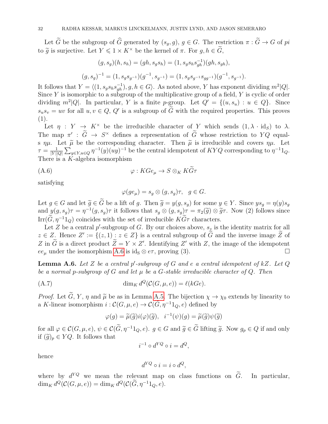Let  $\tilde{G}$  be the subgroup of  $\hat{G}$  generated by  $(s_q, g)$ ,  $g \in G$ . The restriction  $\pi : \tilde{G} \to G$  of pi to  $\tilde{g}$  is surjective. Let  $Y \leq 1 \times K^{\times}$  be the kernel of  $\pi$ . For  $g, h \in \tilde{G}$ ,

$$
(g, s_g)(h, s_h) = (gh, s_g s_h) = (1, s_g s_h s_{gh}^{-1})(gh, s_{gh}),
$$
  

$$
(g, s_g)^{-1} = (1, s_g s_{g^{-1}})(g^{-1}, s_{g^{-1}}) = (1, s_g s_{g^{-1}} s_{gg^{-1}})(g^{-1}, s_{g^{-1}}).
$$

It follows that  $Y = \langle (1, s_g s_h s_{gh}^{-1}), g, h \in G \rangle$ . As noted above, Y has exponent dividing  $m^2|Q|$ . Since  $Y$  is isomorphic to a subgroup of the multiplicative group of a field,  $Y$  is cyclic of order dividing  $m^2|Q|$ . In particular, Y is a finite p-group. Let  $Q' = \{(u, s_u) : u \in Q\}$ . Since  $s_u s_v = uv$  for all  $u, v \in Q$ ,  $Q'$  is a subgroup of  $\tilde{G}$  with the required properties. This proves  $(1).$ 

Let  $\eta: Y \to K^\times$  be the irreducible character of Y which sends  $(1, \lambda \cdot id_S)$  to  $\lambda$ . The map  $\pi' : \tilde{G} \to S^{\times}$  defines a representation of  $\tilde{G}$  whose restriction to YQ equals  $\eta\mu$ . Let  $\tilde{\mu}$  be the corresponding character. Then  $\tilde{\mu}$  is irreducible and covers  $\eta\mu$ . Let  $\tau = \frac{1}{|V||}$  $\frac{1}{|Y||Q|} \sum_{y \in Y, u \in Q} \eta^{-1}(y)(uy)^{-1}$  be the central idempotent of  $KYQ$  corresponding to  $\eta^{-1}1_Q$ . There is a  $K$ -algebra isomorphism

$$
(A.6) \t\t \varphi: KGe_{\mu} \to S \otimes_K KG\tau
$$

satisfying

<span id="page-32-0"></span>
$$
\varphi(ge_{\mu}) = s_g \otimes (g, s_g)\tau, \quad g \in G.
$$

Let  $g \in G$  and let  $\widetilde{g} \in \widetilde{G}$  be a lift of g. Then  $\widetilde{g} = y(g, s_g)$  for some  $y \in Y$ . Since  $ys_g = \eta(y)s_g$ and  $y(g, s_g)\tau = \eta^{-1}(g, s_g)\tau$  it follows that  $s_g \otimes (g, s_g)\tau = \pi_2(\tilde{g}) \otimes \tilde{g}\tau$ . Now (2) follows since Irr( $G, \eta^{-1}1_Q$ ) coincides with the set of irreducible  $KG\tau$  characters.

Let Z be a central  $p'$ -subgroup of G. By our choices above,  $s_z$  is the identity matrix for all  $z \in Z$ . Hence  $Z' := \{(z, 1) : z \in Z\}$  is a central subgroup of  $\tilde{G}$  and the inverse image  $\tilde{Z}$  of Z in  $\tilde{G}$  is a direct product  $\tilde{Z} = Y \times Z'$ . Identifying Z' with Z, the image of the idempotent  $ee_{\mu}$  under the isomorphism [A.6](#page-32-0) is id<sub>S</sub>  $\otimes e\tau$ , proving (3).

<span id="page-32-1"></span>**Lemma A.6.** Let Z be a central p'-subgroup of G and e a central idempotent of kZ. Let  $Q$ be a normal p-subgroup of G and let  $\mu$  be a G-stable irreducible character of Q. Then

$$
(A.7) \qquad \dim_K d^Q(\mathcal{C}(G,\mu,e)) = \ell(kGe).
$$

*Proof.* Let  $\tilde{G}$ , Y,  $\eta$  and  $\tilde{\mu}$  be as in Lemma [A.5.](#page-31-0) The bijection  $\chi \to \chi_0$  extends by linearity to a K-linear isomorphism  $i: \mathcal{C}(G, \mu, e) \to \mathcal{C}(\tilde{G}, \eta^{-1}1_Q, e)$  defined by

$$
\varphi(g) = \widetilde{\mu}(\widetilde{g})i(\varphi)(\widetilde{g}), \quad i^{-1}(\psi)(g) = \widetilde{\mu}(\widetilde{g})\psi(\widetilde{g})
$$

for all  $\varphi \in \mathcal{C}(G, \mu, e), \psi \in \mathcal{C}(\widetilde{G}, \eta^{-1}1_Q, e).$   $g \in G$  and  $\widetilde{g} \in \widetilde{G}$  lifting  $\widetilde{g}$ . Now  $g_p \in Q$  if and only if  $(\widetilde{g})_p \in YQ$ . It follows that

$$
i^{-1} \circ d^{YQ} \circ i = d^Q,
$$

hence

$$
d^{YQ} \circ i = i \circ d^Q,
$$

where by  $d^{YQ}$  we mean the relevant map on class functions on  $\tilde{G}$ . In particular,  $\dim_K d^Q(C(G, \mu, e)) = \dim_K d^Q(C(\tilde{G}, \eta^{-1}1_Q, e)).$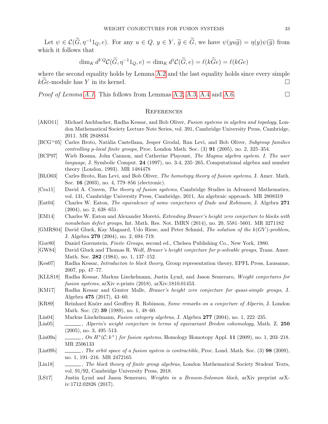Let  $\psi \in \mathcal{C}(\widetilde{G}, \eta^{-1}1_Q, e)$ . For any  $u \in Q, y \in Y, \widetilde{g} \in \widetilde{G}$ , we have  $\psi(yu\widetilde{g}) = \eta(y)\psi(\widetilde{g})$  from which it follows that

$$
\dim_K d^{YQ}C(\widetilde{G}, \eta^{-1}1_Q, e) = \dim_K d^1C(\widetilde{G}, e) = \ell(k\widetilde{G}e) = \ell(kGe)
$$

where the second equality holds by Lemma [A.2](#page-29-0) and the last equality holds since every simple  $kGe$ -module has Y in its kernel.

*Proof of Lemma [A.1.](#page-28-0)* This follows from Lemmas [A.2,](#page-29-0) [A.3,](#page-30-0) [A.4](#page-30-1) and [A.6.](#page-32-1)

# **REFERENCES**

- <span id="page-33-0"></span>[AKO11] Michael Aschbacher, Radha Kessar, and Bob Oliver, *Fusion systems in algebra and topology*, London Mathematical Society Lecture Note Series, vol. 391, Cambridge University Press, Cambridge, 2011. MR 2848834
- <span id="page-33-18"></span>[BCG<sup>+</sup>05] Carles Broto, Natàlia Castellana, Jesper Grodal, Ran Levi, and Bob Oliver, Subgroup families controlling p-local finite groups, Proc. London Math. Soc.  $(3)$  91 (2005), no. 2, 325–354.
- <span id="page-33-10"></span>[BCP97] Wieb Bosma, John Cannon, and Catherine Playoust, The Magma algebra system. I. The user language, J. Symbolic Comput. 24 (1997), no. 3-4, 235–265, Computational algebra and number theory (London, 1993). MR 1484478
- <span id="page-33-14"></span>[BLO03] Carles Broto, Ran Levi, and Bob Oliver, The homotopy theory of fusion systems, J. Amer. Math. Soc. 16 (2003), no. 4, 779–856 (electronic).
- <span id="page-33-13"></span>[Cra11] David A. Craven, The theory of fusion systems, Cambridge Studies in Advanced Mathematics, vol. 131, Cambridge University Press, Cambridge, 2011, An algebraic approach. MR 2808319
- <span id="page-33-4"></span>[Eat04] Charles W. Eaton, The equivalence of some conjectures of Dade and Robinson, J. Algebra 271 (2004), no. 2, 638–651.
- <span id="page-33-5"></span>[EM14] Charles W. Eaton and Alexander Moretó, Extending Brauer's height zero conjecture to blocks with nonabelian defect groups, Int. Math. Res. Not. IMRN (2014), no. 20, 5581–5601. MR 3271182
- <span id="page-33-6"></span>[GMRS04] David Gluck, Kay Magaard, Udo Riese, and Peter Schmid, The solution of the  $k(GV)$ -problem, J. Algebra 279 (2004), no. 2, 694–719.
- <span id="page-33-12"></span>[Gor80] Daniel Gorenstein, Finite Groups, second ed., Chelsea Publishing Co., New York, 1980.
- <span id="page-33-7"></span>[GW84] David Gluck and Thomas R. Wolf, *Brauer's height conjecture for p-solvable groups*, Trans. Amer. Math. Soc. **282** (1984), no. 1, 137–152.
- <span id="page-33-17"></span>[Kes07] Radha Kessar, Introducton to block theory, Group representation theory, EPFL Press, Lausanne, 2007, pp. 47–77.
- <span id="page-33-11"></span>[KLLS18] Radha Kessar, Markus Linckelmann, Justin Lynd, and Jason Semeraro, Weight conjectures for fusion systems, arXiv e-prints (2018), arXiv:1810.01453.
- <span id="page-33-3"></span>[KM17] Radha Kessar and Gunter Malle, Brauer's height zero conjecture for quasi-simple groups, J. Algebra 475 (2017), 43–60.
- <span id="page-33-9"></span>[KR89] Reinhard Knörr and Geoffrey R. Robinson, Some remarks on a conjecture of Alperin, J. London Math. Soc. (2) 39 (1989), no. 1, 48–60.
- <span id="page-33-19"></span>[Lin04] Markus Linckelmann, Fusion category algebras, J. Algebra 277 (2004), no. 1, 222–235.
- <span id="page-33-15"></span>[Lin05]  $\qquad \qquad \qquad \ldots$ , Alperin's weight conjecture in terms of equivariant Bredon cohomology, Math. Z. 250 (2005), no. 3, 495–513.
- <span id="page-33-16"></span>[Lin09a] , On  $H^*(\mathcal{C}; k^\times)$  for fusion systems, Homology Homotopy Appl. 11 (2009), no. 1, 203–218. MR 2506133
- <span id="page-33-8"></span>[Lin09b] , The orbit space of a fusion system is contractible, Proc. Lond. Math. Soc. (3) 98 (2009), no. 1, 191–216. MR 2472165
- <span id="page-33-1"></span>[Lin18] , The block theory of finite group algebras, London Mathematical Society Student Texts, vol. 91/92, Cambridge University Press, 2018.
- <span id="page-33-2"></span>[LS17] Justin Lynd and Jason Semeraro, Weights in a Benson-Solomon block, arXiv preprint arXiv:1712.02826 (2017).